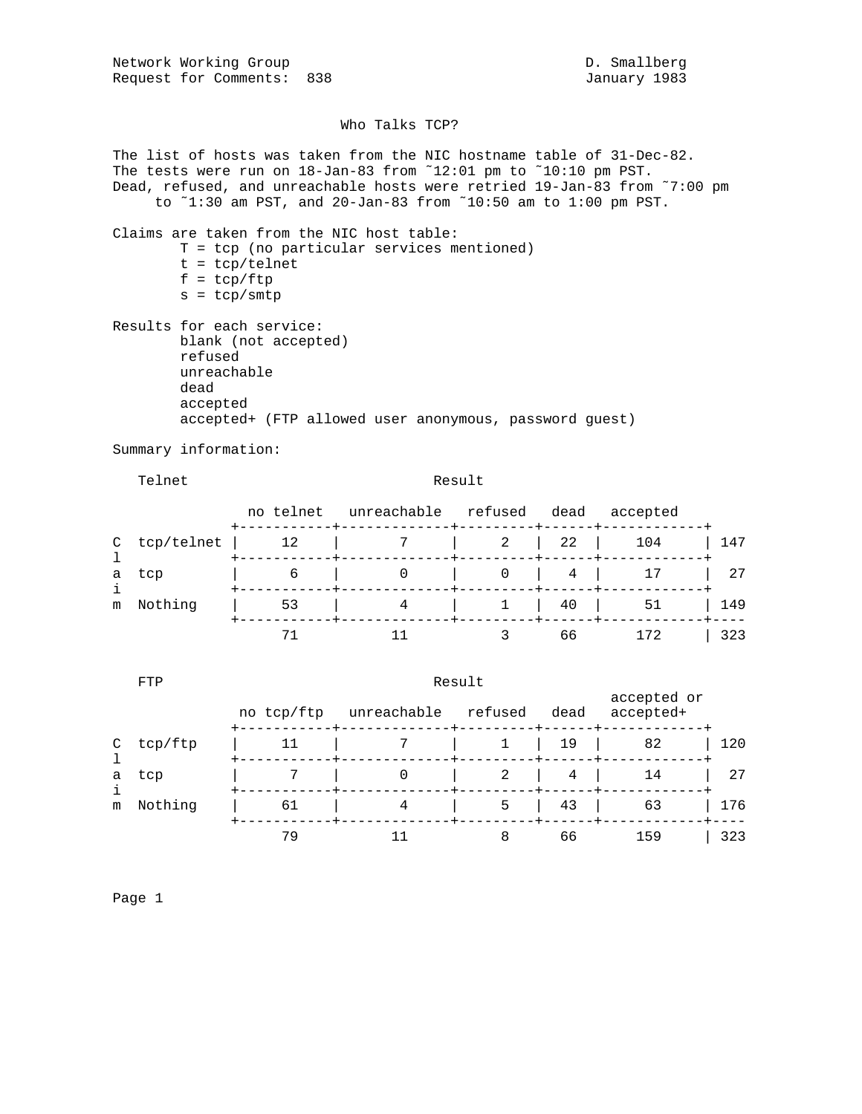Network Working Group and the contract of the D. Smallberg Request for Comments: 838 January 1983

## Who Talks TCP?

The list of hosts was taken from the NIC hostname table of 31-Dec-82. The tests were run on 18-Jan-83 from ˜12:01 pm to ˜10:10 pm PST. Dead, refused, and unreachable hosts were retried 19-Jan-83 from ˜7:00 pm to ˜1:30 am PST, and 20-Jan-83 from ˜10:50 am to 1:00 pm PST. Claims are taken from the NIC host table: T = tcp (no particular services mentioned) t = tcp/telnet  $f = \text{tcp/ftp}$  $s = tcp/smtp$ Results for each service: blank (not accepted) refused unreachable dead accepted accepted+ (FTP allowed user anonymous, password guest) Summary information: Telnet Result no telnet unreachable refused dead accepted +-----------+-------------+---------+------+------------+ C tcp/telnet | 12 | 7 | 2 | 22 | 104 | 147<br>1 l +-----------+-------------+---------+------+------------+ a tcp | 6 | 0 | 0 | 4 | 17 | 27 i +-----------+-------------+---------+------+------------+ m Nothing | 53 | 4 | 1 | 40 | 51 | 149 +-----------+-------------+---------+------+------------+----

|               | FTP     | Result     |             |         |      |                          |     |  |
|---------------|---------|------------|-------------|---------|------|--------------------------|-----|--|
|               |         | no tcp/ftp | unreachable | refused | dead | accepted or<br>accepted+ |     |  |
| $\mathcal{C}$ | tcp/ftp | 11         |             |         | 19   | 82                       | 120 |  |
| a             | tcp     |            |             | 2       | 4    | 14                       | 27  |  |
| i<br>m        | Nothing | 61         | 4           | 5       | 43   | 63                       | 176 |  |
|               |         | 79         |             |         | 66   | 159                      | 323 |  |

71 11 3 66 172 | 323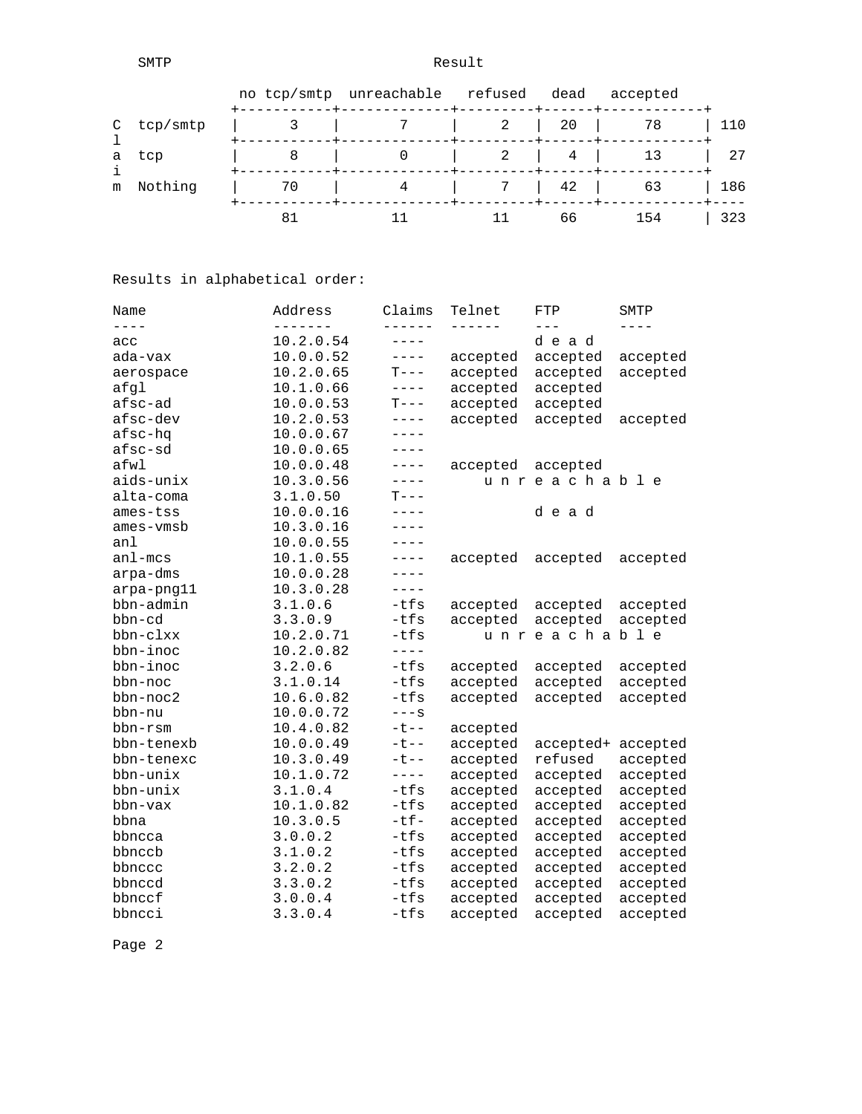SMTP Result

|   |            |    | no tcp/smtp unreachable refused |   | dead | accepted |     |
|---|------------|----|---------------------------------|---|------|----------|-----|
|   | C tcp/smtp |    |                                 | 2 | 20   | 78       | 110 |
|   | a tcp      |    |                                 |   | 4    |          | 27  |
| m | Nothing    | 70 |                                 |   | 42   | 63       | 186 |
|   |            | 81 |                                 |   | 66   | 154      | 323 |

Results in alphabetical order:

| Name        | Address   | Claims    | Telnet   | FTP         | SMTP      |
|-------------|-----------|-----------|----------|-------------|-----------|
| $- - - -$   | -------   | ------    | -------  | $- - -$     | $- - - -$ |
| acc         | 10.2.0.54 | $---$     |          | dead        |           |
| ada-vax     | 10.0.0.52 | $---$     | accepted | accepted    | accepted  |
| aerospace   | 10.2.0.65 | $T---$    | accepted | accepted    | accepted  |
| afgl        | 10.1.0.66 | $- - - -$ | accepted | accepted    |           |
| afsc-ad     | 10.0.0.53 | $T---$    | accepted | accepted    |           |
| afsc-dev    | 10.2.0.53 | $- - - -$ | accepted | accepted    | accepted  |
| afsc-hq     | 10.0.0.67 | $- - - -$ |          |             |           |
| afsc-sd     | 10.0.0.65 | $---$     |          |             |           |
| afwl        | 10.0.0.48 | $---$     | accepted | accepted    |           |
| aids-unix   | 10.3.0.56 | $---$     |          | unreachable |           |
| alta-coma   | 3.1.0.50  | $T---$    |          |             |           |
| ames-tss    | 10.0.0.16 | $- - - -$ |          | dead        |           |
| ames-vmsb   | 10.3.0.16 | $- - - -$ |          |             |           |
| anl         | 10.0.0.55 | $- - - -$ |          |             |           |
| $an1 - mcs$ | 10.1.0.55 | $---$     | accepted | accepted    | accepted  |
| arpa-dms    | 10.0.0.28 | $---$     |          |             |           |
| arpa-png11  | 10.3.0.28 | $---$     |          |             |           |
| bbn-admin   | 3.1.0.6   | $-tfs$    | accepted | accepted    | accepted  |
| bbn-cd      | 3.3.0.9   | $-tfs$    | accepted | accepted    | accepted  |
| bbn-clxx    | 10.2.0.71 | $-tfs$    |          | unreachable |           |
| bbn-inoc    | 10.2.0.82 | $- - - -$ |          |             |           |
| bbn-inoc    | 3.2.0.6   | $-tfs$    | accepted | accepted    | accepted  |
| bbn-noc     | 3.1.0.14  | $-tfs$    | accepted | accepted    | accepted  |
| bbn-noc2    | 10.6.0.82 | $-tfs$    | accepted | accepted    | accepted  |
| bbn-nu      | 10.0.0.72 | $---S$    |          |             |           |
| bbn-rsm     | 10.4.0.82 | $-t$ $-$  | accepted |             |           |
| bbn-tenexb  | 10.0.0.49 | $-t$ $-$  | accepted | accepted+   | accepted  |
| bbn-tenexc  | 10.3.0.49 | $-t$ $-$  | accepted | refused     | accepted  |
| bbn-unix    | 10.1.0.72 | $- - - -$ | accepted | accepted    | accepted  |
| bbn-unix    | 3.1.0.4   | $-tfs$    | accepted | accepted    | accepted  |
| bbn-vax     | 10.1.0.82 | $-tfs$    | accepted | accepted    | accepted  |
| bbna        | 10.3.0.5  | $-tf-$    | accepted | accepted    | accepted  |
| bbncca      | 3.0.0.2   | $-tfs$    | accepted | accepted    | accepted  |
| bbnccb      | 3.1.0.2   | $-tfs$    | accepted | accepted    | accepted  |
| bbnccc      | 3.2.0.2   | -tfs      | accepted | accepted    | accepted  |
| bbnccd      | 3.3.0.2   | -tfs      | accepted | accepted    | accepted  |
| bbnccf      | 3.0.0.4   | $-tfs$    | accepted | accepted    | accepted  |
| bbncci      | 3.3.0.4   | $-tfs$    | accepted | accepted    | accepted  |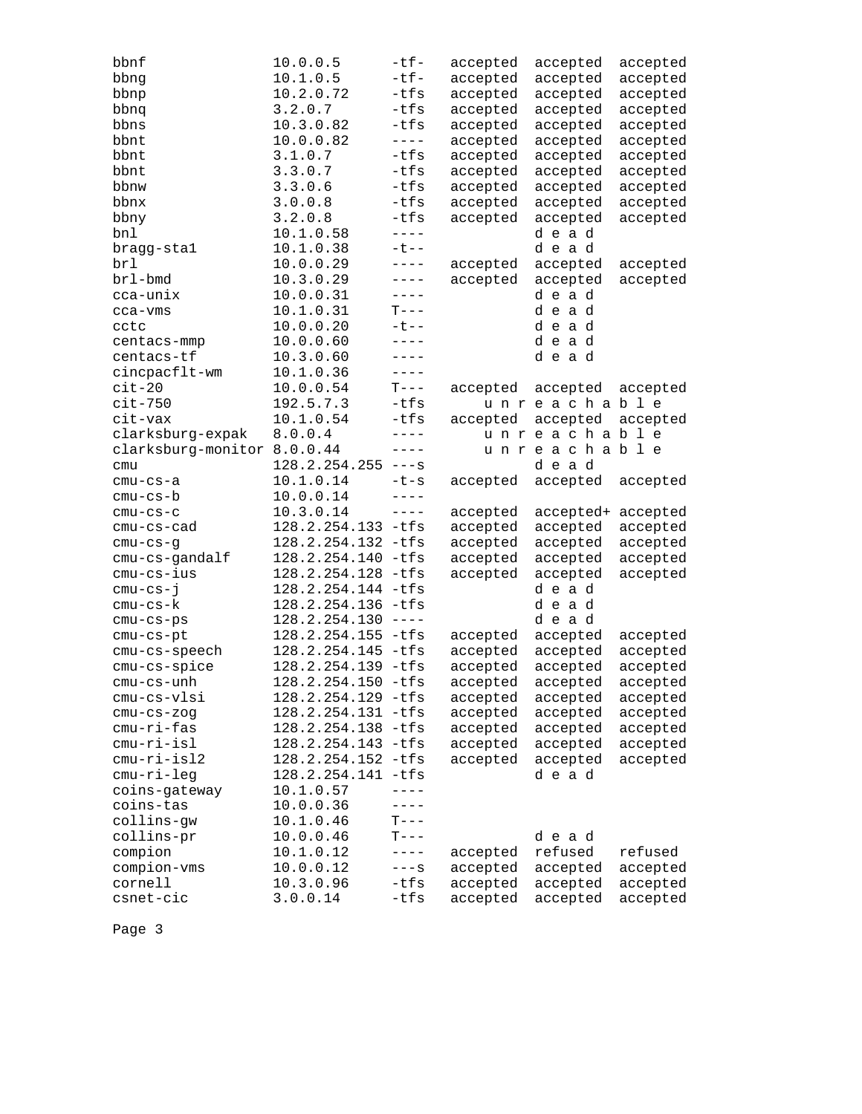| bbnf                        | 10.0.0.5           | $-tf-$      | accepted | accepted           | accepted |
|-----------------------------|--------------------|-------------|----------|--------------------|----------|
| bbng                        | 10.1.0.5           | $-tf-$      | accepted | accepted           | accepted |
| bbnp                        | 10.2.0.72          | $-tfs$      | accepted | accepted           | accepted |
| bbnq                        | 3.2.0.7            | -tfs        | accepted | accepted           | accepted |
| bbns                        | 10.3.0.82          | -tfs        | accepted | accepted           | accepted |
| bbnt                        | 10.0.0.82          | $- - - -$   | accepted | accepted           | accepted |
| bbnt                        | 3.1.0.7            | -tfs        | accepted | accepted           | accepted |
| bbnt                        | 3.3.0.7            | $-tfs$      | accepted | accepted           | accepted |
| bbnw                        | 3.3.0.6            | $-tfs$      | accepted | accepted           | accepted |
| bbnx                        | 3.0.0.8            | $-tfs$      | accepted | accepted           | accepted |
| bbny                        | 3.2.0.8            | -tfs        | accepted | accepted           | accepted |
| bnl                         | 10.1.0.58          | $- - - -$   |          | dead               |          |
| bragg-stal                  | 10.1.0.38          | $-t$ $-$    |          | dead               |          |
| brl                         | 10.0.0.29          | $- - - -$   | accepted | accepted           | accepted |
| brl-bmd                     | 10.3.0.29          | $- - - - -$ | accepted | accepted           | accepted |
| cca-unix                    | 10.0.0.31          | $---$       |          | dead               |          |
| cca-vms                     | 10.1.0.31          | $T---$      |          | dead               |          |
| cctc                        | 10.0.0.20          | $-t$ --     |          | dead               |          |
| centacs-mmp                 | 10.0.0.60          | $---$       |          | dead               |          |
| centacs-tf                  | 10.3.0.60          | $---$       |          | dead               |          |
| cincpacflt-wm               | 10.1.0.36          | $- - - - -$ |          |                    |          |
| $cit-20$                    | 10.0.0.54          | $T---$      | accepted | accepted           | accepted |
| $cit-750$                   | 192.5.7.3          | $-tfs$      |          | unreachable        |          |
| cit-vax                     | 10.1.0.54          | $-tfs$      | accepted | accepted           | accepted |
| clarksburg-expak            | 8.0.0.4            | $---$       |          | unreachable        |          |
| clarksburg-monitor 8.0.0.44 |                    | $- - - - -$ |          | unreachable        |          |
| cmu                         | 128.2.254.255      | $---S$      |          | dead               |          |
| cmu-cs-a                    | 10.1.0.14          | $-t-s$      | accepted | accepted           | accepted |
| cmu-cs-b                    | 10.0.0.14          | $- - - - -$ |          |                    |          |
| $cmu-cs-c$                  | 10.3.0.14          | $- - - -$   | accepted | accepted+ accepted |          |
| $cmu-cs-cad$                | 128.2.254.133 -tfs |             | accepted | accepted           | accepted |
| $cmu-cs-g$                  | 128.2.254.132 -tfs |             | accepted | accepted           | accepted |
| cmu-cs-gandalf              | 128.2.254.140 -tfs |             | accepted | accepted           | accepted |
| cmu-cs-ius                  | 128.2.254.128      | $-tfs$      | accepted | accepted           | accepted |
| $cmu-cs-j$                  | 128.2.254.144 -tfs |             |          | dead               |          |
| $cmu-cs-k$                  | 128.2.254.136 -tfs |             |          | dead               |          |
| $cmu-cs-ps$                 | 128.2.254.130      | $- - - -$   |          | dead               |          |
| $cmu-cs-pt$                 | 128.2.254.155 -tfs |             | accepted | accepted           | accepted |
| cmu-cs-speech               | 128.2.254.145      | -tfs        | accepted | accepted           | accepted |
| cmu-cs-spice                | 128.2.254.139 -tfs |             | accepted | accepted           | accepted |
| cmu-cs-unh                  | 128.2.254.150 -tfs |             | accepted | accepted           | accepted |
| cmu-cs-vlsi                 | 128.2.254.129 -tfs |             | accepted | accepted           | accepted |
| $cmu-cs-zog$                | 128.2.254.131 -tfs |             | accepted | accepted           | accepted |
| cmu-ri-fas                  | 128.2.254.138      | $-tfs$      | accepted | accepted           | accepted |
| cmu-ri-isl                  | 128.2.254.143      | $-tfs$      | accepted | accepted           | accepted |
| cmu-ri-isl2                 | 128.2.254.152      | $-tfs$      | accepted | accepted           | accepted |
| cmu-ri-leg                  | 128.2.254.141 -tfs |             |          | dead               |          |
| coins-gateway               | 10.1.0.57          | $- - - - -$ |          |                    |          |
| coins-tas                   | 10.0.0.36          |             |          |                    |          |
| collins-gw                  | 10.1.0.46          | $T---$      |          |                    |          |
| collins-pr                  | 10.0.0.46          | $T---$      |          | dead               |          |
| compion                     | 10.1.0.12          | $---$       | accepted | refused            | refused  |
| compion-vms                 | 10.0.0.12          | $---S$      | accepted | accepted           | accepted |
| cornell                     | 10.3.0.96          | $-tfs$      | accepted | accepted           | accepted |
| csnet-cic                   | 3.0.0.14           | -tfs        | accepted | accepted           | accepted |
|                             |                    |             |          |                    |          |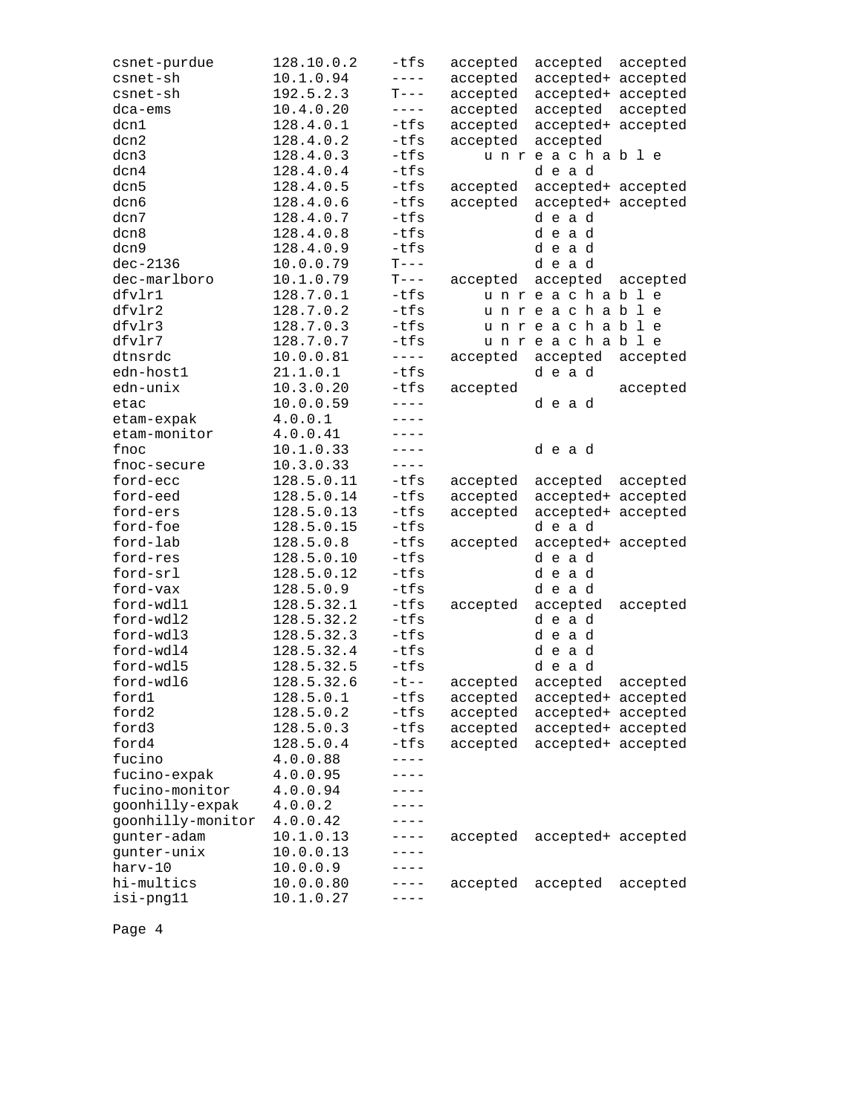| csnet-purdue      | 128.10.0.2 | -tfs            | accepted | accepted           | accepted |
|-------------------|------------|-----------------|----------|--------------------|----------|
| csnet-sh          | 10.1.0.94  | $- - - -$       | accepted | accepted+ accepted |          |
| csnet-sh          | 192.5.2.3  | $T---$          | accepted | accepted+ accepted |          |
| $dca-ems$         | 10.4.0.20  | $- - - -$       | accepted | accepted           | accepted |
| dcn1              | 128.4.0.1  | $-tfs$          | accepted | accepted+ accepted |          |
| dcn2              | 128.4.0.2  | $-tfs$          | accepted | accepted           |          |
| dcn3              | 128.4.0.3  | $-tfs$          |          | unreachable        |          |
| dcn4              | 128.4.0.4  | $-tfs$          |          | dead               |          |
| dcn5              | 128.4.0.5  | $-tfs$          | accepted | accepted+ accepted |          |
| dcn6              | 128.4.0.6  | $-tfs$          | accepted | accepted+ accepted |          |
| dcn7              | 128.4.0.7  | $-tfs$          |          | dead               |          |
| dcn8              | 128.4.0.8  | $-tfs$          |          | dead               |          |
| dcn9              | 128.4.0.9  | $-tfs$          |          | dead               |          |
| $dec-2136$        | 10.0.0.79  | $T---$          |          | dead               |          |
| dec-marlboro      | 10.1.0.79  | $T---$          | accepted | accepted           | accepted |
| dfvlr1            | 128.7.0.1  | -tfs            |          | unreachable        |          |
| dfvlr2            | 128.7.0.2  | -tfs            |          | unreachable        |          |
| dfvlr3            | 128.7.0.3  | $-tfs$          |          | unreachable        |          |
| dfvlr7            | 128.7.0.7  | $-tfs$          |          | unreachable        |          |
| dtnsrdc           | 10.0.0.81  | $- - - - -$     | accepted | accepted           | accepted |
| edn-host1         | 21.1.0.1   | $-tfs$          |          | dead               |          |
| edn-unix          | 10.3.0.20  | $-tfs$          | accepted |                    | accepted |
| etac              | 10.0.0.59  | $- - - -$       |          | dead               |          |
| etam-expak        | 4.0.0.1    | $- - - -$       |          |                    |          |
| etam-monitor      | 4.0.0.41   | $----$          |          |                    |          |
| fnoc              | 10.1.0.33  | $- - - -$       |          | dead               |          |
| fnoc-secure       | 10.3.0.33  | $- - - - -$     |          |                    |          |
| ford-ecc          | 128.5.0.11 | $-tfs$          | accepted | accepted accepted  |          |
| ford-eed          | 128.5.0.14 | -tfs            | accepted | accepted+ accepted |          |
| ford-ers          | 128.5.0.13 | $-tfs$          | accepted | accepted+ accepted |          |
| ford-foe          | 128.5.0.15 | $-tfs$          |          | dead               |          |
| ford-lab          | 128.5.0.8  | $-tfs$          | accepted | accepted+ accepted |          |
| ford-res          | 128.5.0.10 | $-tfs$          |          | dead               |          |
| ford-srl          | 128.5.0.12 | $-tfs$          |          | dead               |          |
| ford-vax          | 128.5.0.9  | -tfs            |          | dead               |          |
| ford-wdl1         | 128.5.32.1 | $-tfs$          | accepted | accepted           | accepted |
| ford-wdl2         | 128.5.32.2 | $-tfs$          |          | dead               |          |
| ford-wdl3         | 128.5.32.3 | $-tfs$          |          | dead               |          |
| ford-wdl4         | 128.5.32.4 | $-tfs$          |          | dead               |          |
| ford-wdl5         | 128.5.32.5 | $-tfs$          |          | dead               |          |
| ford-wd16         | 128.5.32.6 | $-t$ --         |          | accepted           |          |
| ford1             | 128.5.0.1  | $-tfs$          | accepted |                    | accepted |
| ford2             | 128.5.0.2  | $-tfs$          | accepted | accepted+ accepted |          |
| ford3             |            | $-tfs$          | accepted | accepted+ accepted |          |
|                   | 128.5.0.3  |                 | accepted | accepted+ accepted |          |
| ford4             | 128.5.0.4  | $-tfs$<br>$---$ | accepted | accepted+ accepted |          |
| fucino            | 4.0.0.88   | ----            |          |                    |          |
| fucino-expak      | 4.0.0.95   |                 |          |                    |          |
| fucino-monitor    | 4.0.0.94   | ----            |          |                    |          |
| goonhilly-expak   | 4.0.0.2    | ----            |          |                    |          |
| goonhilly-monitor | 4.0.0.42   | ----            |          |                    |          |
| gunter-adam       | 10.1.0.13  | $-- - -$        | accepted | accepted+ accepted |          |
| gunter-unix       | 10.0.0.13  |                 |          |                    |          |
| harv-10           | 10.0.0.9   |                 |          |                    |          |
| hi-multics        | 10.0.0.80  | - - - -         | accepted | accepted           | accepted |
| isi-png11         | 10.1.0.27  |                 |          |                    |          |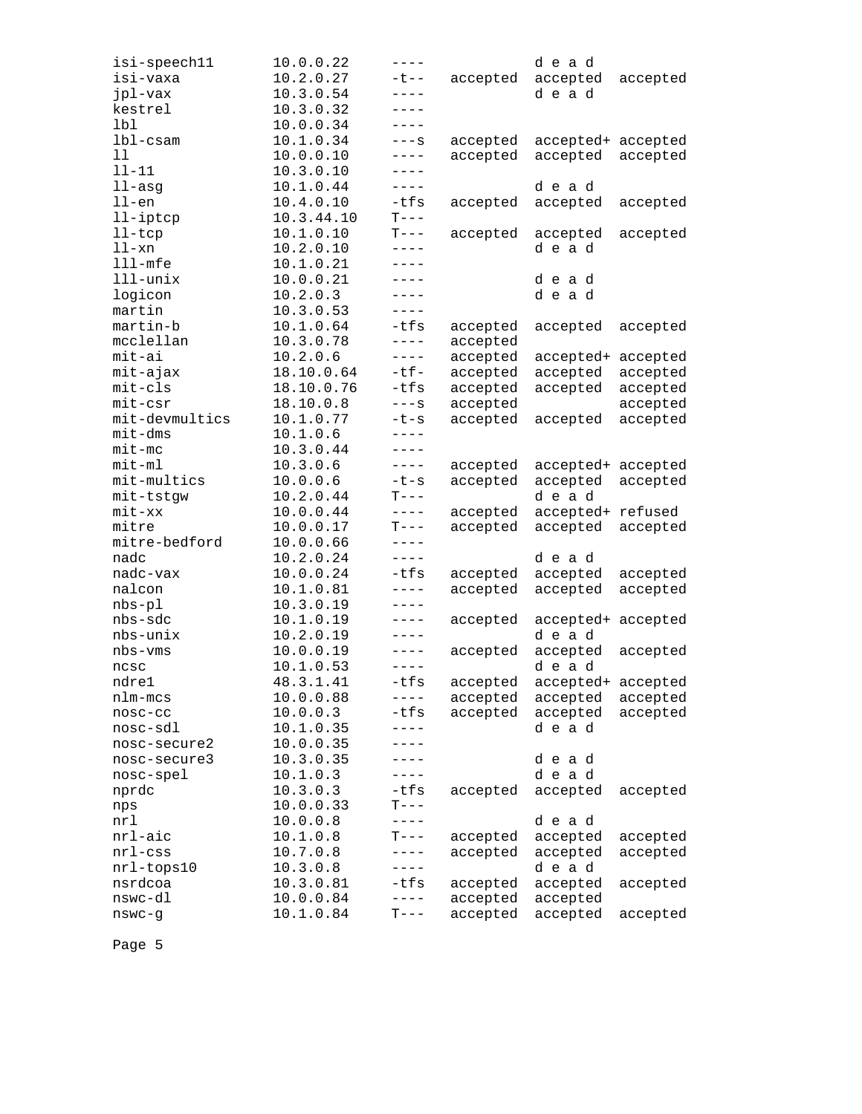| isi-speech11         | 10.0.0.22  | $---$               |          | dead               |          |
|----------------------|------------|---------------------|----------|--------------------|----------|
| isi-vaxa             | 10.2.0.27  | $-t$ $-$            | accepted | accepted           | accepted |
| jpl-vax              | 10.3.0.54  | $---$               |          | dead               |          |
| kestrel              | 10.3.0.32  | $---$               |          |                    |          |
| lbl                  | 10.0.0.34  | $---$               |          |                    |          |
| $1b1-cs$ am          | 10.1.0.34  | $---S$              | accepted | accepted+ accepted |          |
| 11                   | 10.0.0.10  | $---$               | accepted | accepted           | accepted |
| $11 - 11$            | 10.3.0.10  | $---$               |          |                    |          |
| $11 - asq$           | 10.1.0.44  | $---$               |          | dead               |          |
| $11$ -en             | 10.4.0.10  | -tfs                | accepted | accepted           | accepted |
| 11-iptcp             | 10.3.44.10 | $\mbox{T}\,{-}\, -$ |          |                    |          |
| $l$ l-tc $p$         | 10.1.0.10  | $T---$              | accepted | accepted           | accepted |
| $11 - xn$            | 10.2.0.10  | $---$               |          | dead               |          |
| $111$ -mfe           | 10.1.0.21  | $---$               |          |                    |          |
| $111 - \text{unitx}$ | 10.0.0.21  | $---$               |          | dead               |          |
| logicon              | 10.2.0.3   | $---$               |          | dead               |          |
| martin               | 10.3.0.53  | $- - - -$           |          |                    |          |
| martin-b             | 10.1.0.64  | -tfs                | accepted | accepted           | accepted |
| mcclellan            | 10.3.0.78  | $- - - -$           | accepted |                    |          |
| mit-ai               | 10.2.0.6   | $- - - - -$         | accepted | accepted+ accepted |          |
| mit-ajax             | 18.10.0.64 | $-tf-$              | accepted | accepted           | accepted |
| mit-cls              | 18.10.0.76 | $-tfs$              | accepted | accepted           | accepted |
| mit-csr              | 18.10.0.8  | $---S$              | accepted |                    | accepted |
| mit-devmultics       | 10.1.0.77  | $-t-s$              | accepted | accepted           | accepted |
| $mit$ -dms           | 10.1.0.6   | $- - - -$           |          |                    |          |
| $mit-mc$             | 10.3.0.44  | $---$               |          |                    |          |
| $mit-m1$             | 10.3.0.6   | $---$               | accepted | accepted+ accepted |          |
| mit-multics          | 10.0.0.6   | $-t-s$              | accepted | accepted           | accepted |
| mit-tstgw            | 10.2.0.44  | $T---$              |          | dead               |          |
| $mit$ - $xx$         | 10.0.0.44  | $- - - -$           | accepted | accepted+ refused  |          |
| mitre                | 10.0.0.17  | $T---$              | accepted | accepted           | accepted |
| mitre-bedford        | 10.0.0.66  | $- - - - -$         |          |                    |          |
| nadc                 | 10.2.0.24  | $- - - - -$         |          | dead               |          |
| nadc-vax             | 10.0.0.24  | $-tfs$              | accepted | accepted           | accepted |
| nalcon               | 10.1.0.81  | $---$               | accepted | accepted           | accepted |
| $nbs-p1$             | 10.3.0.19  | $- - - -$           |          |                    |          |
| nbs-sdc              | 10.1.0.19  | $-- - -$            | accepted | accepted+ accepted |          |
| nbs-unix             | 10.2.0.19  | $---$               |          | dead               |          |
| nbs-vms              | 10.0.0.19  | $---$               | accepted | accepted           | accepted |
| ncsc                 | 10.1.0.53  | $- - - -$           |          | dead               |          |
| ndre1                | 48.3.1.41  | $-tfs$              | accepted | accepted+ accepted |          |
| nlm-mcs              | 10.0.0.88  | ----                | accepted | accepted           | accepted |
| $nosc-cc$            | 10.0.0.3   | -tfs                | accepted | accepted           | accepted |
| nosc-sdl             | 10.1.0.35  | $---$               |          | dead               |          |
| nosc-secure2         | 10.0.0.35  |                     |          |                    |          |
| nosc-secure3         | 10.3.0.35  |                     |          | dead               |          |
| nosc-spel            | 10.1.0.3   | ----                |          | dead               |          |
|                      | 10.3.0.3   | -tfs                | accepted |                    |          |
| nprdc                |            | $T---$              |          | accepted           | accepted |
| nps<br>nrl           | 10.0.0.33  | $- - - - -$         |          | dead               |          |
| $nrl - aic$          | 10.0.0.8   |                     |          |                    |          |
|                      | 10.1.0.8   | $T---$              | accepted | accepted           | accepted |
| $nrl$ -css           | 10.7.0.8   | $---$<br>$---$      | accepted | accepted<br>dead   | accepted |
| nrl-tops10           | 10.3.0.8   |                     |          |                    |          |
| nsrdcoa<br>nswc-dl   | 10.3.0.81  | $-tfs$              | accepted | accepted           | accepted |
|                      | 10.0.0.84  | $---$               | accepted | accepted           |          |
| $n$ swc-g            | 10.1.0.84  | $T---$              | accepted | accepted           | accepted |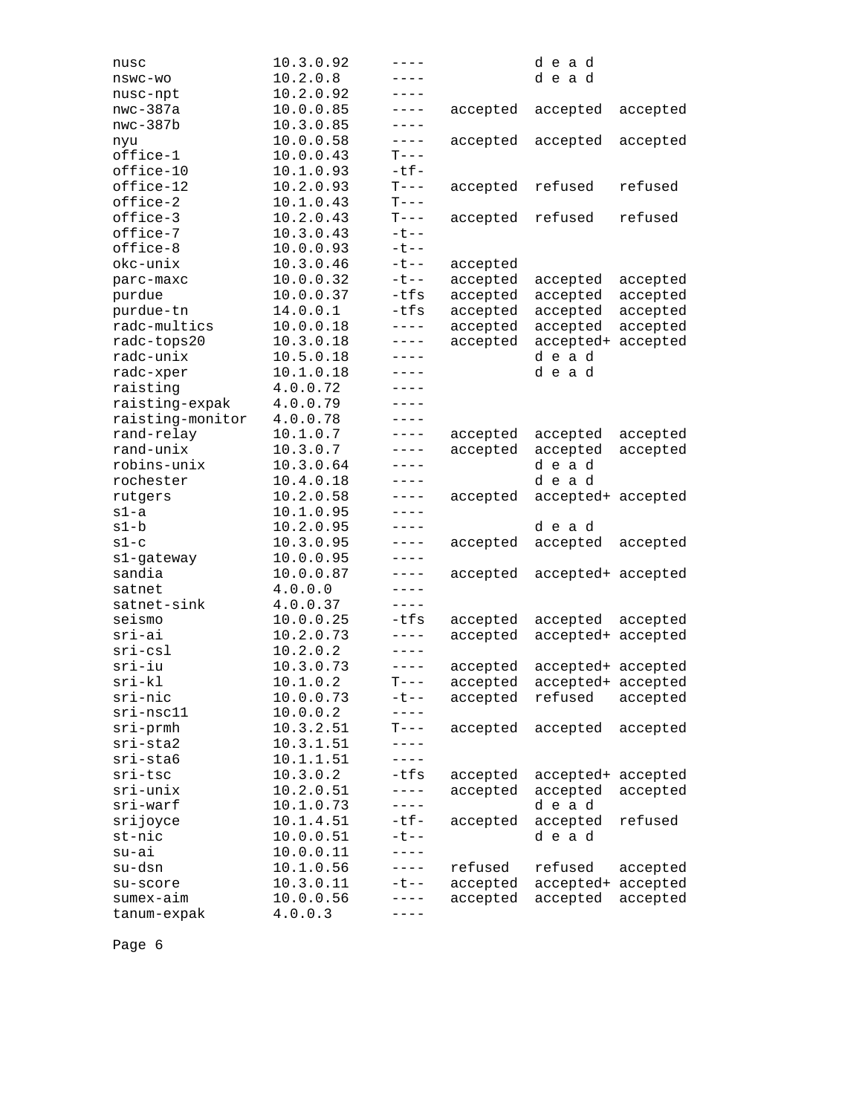| nusc             | 10.3.0.92 | $---$       |          | dead               |          |
|------------------|-----------|-------------|----------|--------------------|----------|
| nswc-wo          | 10.2.0.8  | $---$       |          | dead               |          |
| nusc-npt         | 10.2.0.92 | ----        |          |                    |          |
| $nwc-387a$       | 10.0.0.85 | $---$       | accepted | accepted           | accepted |
| $nwc-387b$       | 10.3.0.85 | $- - - - -$ |          |                    |          |
| nyu              | 10.0.0.58 | $- - - - -$ | accepted | accepted           | accepted |
| office-1         | 10.0.0.43 | $T---$      |          |                    |          |
| office-10        | 10.1.0.93 | $-tf-$      |          |                    |          |
| office-12        | 10.2.0.93 | $T---$      | accepted | refused            | refused  |
| office-2         | 10.1.0.43 | $T---$      |          |                    |          |
| office-3         | 10.2.0.43 | $T---$      | accepted | refused            | refused  |
| office-7         | 10.3.0.43 | $-t$ --     |          |                    |          |
| office-8         | 10.0.0.93 | $-t$ - -    |          |                    |          |
| okc-unix         | 10.3.0.46 | $-t$ $-$    | accepted |                    |          |
| parc-maxc        | 10.0.0.32 | $-t$ $-$    | accepted | accepted           | accepted |
| purdue           | 10.0.0.37 | -tfs        | accepted | accepted           | accepted |
| purdue-tn        | 14.0.0.1  | -tfs        | accepted | accepted           | accepted |
| radc-multics     | 10.0.0.18 | $- - - - -$ | accepted | accepted           | accepted |
| radc-tops20      | 10.3.0.18 | $- - - - -$ | accepted | accepted+          | accepted |
| radc-unix        | 10.5.0.18 | $- - - - -$ |          | dead               |          |
| radc-xper        | 10.1.0.18 | $---$       |          | dead               |          |
| raisting         | 4.0.0.72  | ----        |          |                    |          |
| raisting-expak   | 4.0.0.79  | $- - - -$   |          |                    |          |
| raisting-monitor | 4.0.0.78  | $---$       |          |                    |          |
| rand-relay       | 10.1.0.7  | $---$       | accepted | accepted           | accepted |
| rand-unix        | 10.3.0.7  | $--- -$     | accepted | accepted           | accepted |
| robins-unix      | 10.3.0.64 | ----        |          | dead               |          |
| rochester        | 10.4.0.18 | $---$       |          | dead               |          |
| rutgers          | 10.2.0.58 | $---$       | accepted | accepted+ accepted |          |
| $s1-a$           | 10.1.0.95 | $---$       |          |                    |          |
| s1-b             | 10.2.0.95 | $- - - - -$ |          | dead               |          |
| $s1-c$           | 10.3.0.95 | $- - - - -$ | accepted | accepted           | accepted |
| s1-gateway       | 10.0.0.95 | $---$       |          |                    |          |
| sandia           | 10.0.0.87 | $---$       | accepted | accepted+ accepted |          |
| satnet           | 4.0.0.0   | $- - - -$   |          |                    |          |
| satnet-sink      | 4.0.0.37  | $---$       |          |                    |          |
| seismo           | 10.0.0.25 | $-tfs$      | accepted | accepted           | accepted |
| sri-ai           | 10.2.0.73 | $---$       | accepted | accepted+          | accepted |
| $sri-csl$        | 10.2.0.2  | $---$       |          |                    |          |
| $sri-iu$         | 10.3.0.73 | $- - - - -$ | accepted | accepted+ accepted |          |
| $sri-kl$         | 10.1.0.2  | $T---$      | accepted | accepted+ accepted |          |
| sri-nic          | 10.0.0.73 | ーセーー        | accepted | refused            | accepted |
| sri-nsc11        | 10.0.0.2  |             |          |                    |          |
| $sri$ -prmh      | 10.3.2.51 | $T---$      | accepted | accepted           | accepted |
| sri-sta2         | 10.3.1.51 |             |          |                    |          |
| sri-sta6         | 10.1.1.51 | ----        |          |                    |          |
| sri-tsc          | 10.3.0.2  | $-tfs$      | accepted | accepted+          | accepted |
| sri-unix         | 10.2.0.51 | $---$       | accepted | accepted           | accepted |
| sri-warf         | 10.1.0.73 | $- - - - -$ |          | dead               |          |
| srijoyce         | 10.1.4.51 | $-tf-$      | accepted | accepted           | refused  |
| st-nic           | 10.0.0.51 | $-t$ --     |          | dead               |          |
| su-ai            | 10.0.0.11 |             |          |                    |          |
| su-dsn           | 10.1.0.56 | $---$       | refused  | refused            | accepted |
| su-score         | 10.3.0.11 | ーセーー        | accepted | accepted+          | accepted |
| sumex-aim        | 10.0.0.56 | $---$       | accepted | accepted           | accepted |
| tanum-expak      | 4.0.0.3   | ----        |          |                    |          |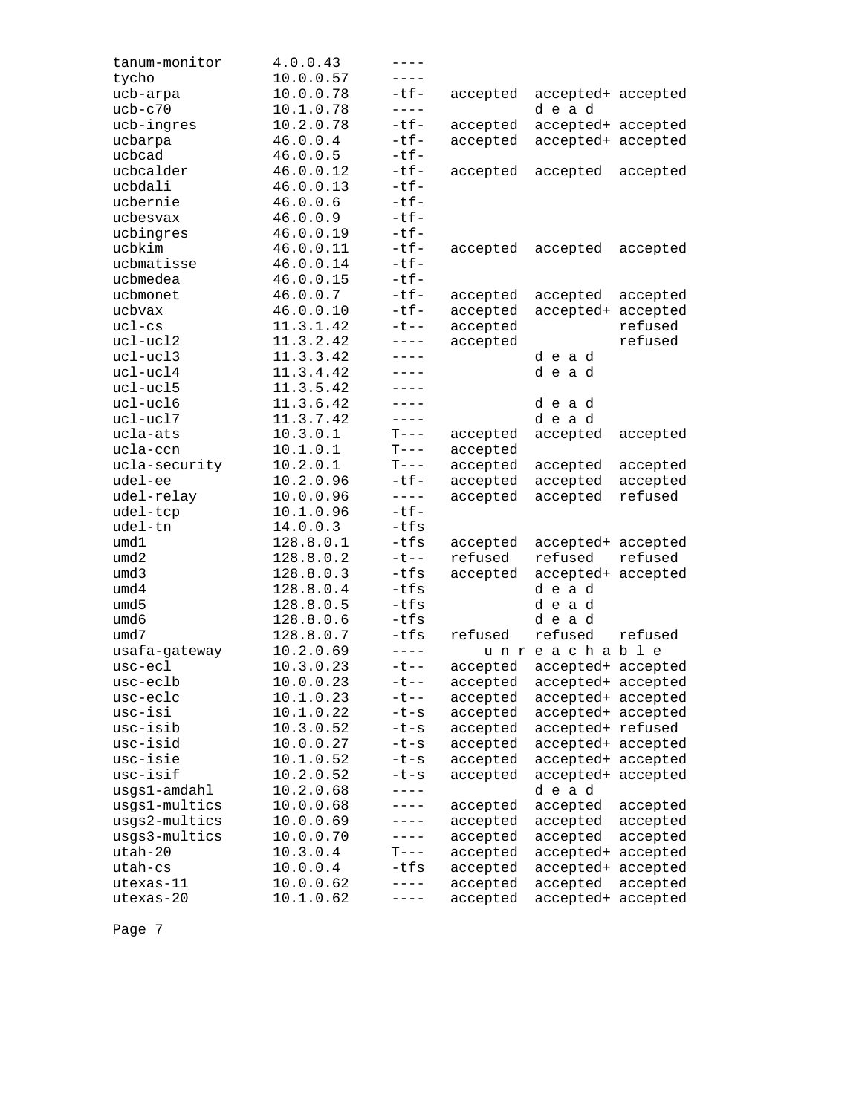| tanum-monitor | 4.0.0.43  | $---$       |          |                             |          |
|---------------|-----------|-------------|----------|-----------------------------|----------|
| tycho         | 10.0.0.57 | $---$       |          |                             |          |
| ucb-arpa      | 10.0.0.78 | $-tf-$      | accepted | accepted+ accepted          |          |
| $ucb-c70$     | 10.1.0.78 | $- - - - -$ |          | dead                        |          |
| ucb-ingres    | 10.2.0.78 | $-tf-$      | accepted | accepted+ accepted          |          |
| ucbarpa       | 46.0.0.4  | $-tf-$      | accepted | accepted+ accepted          |          |
| ucbcad        | 46.0.0.5  | $-tf-$      |          |                             |          |
| ucbcalder     | 46.0.0.12 | $-tf-$      | accepted | accepted                    | accepted |
| ucbdali       | 46.0.0.13 | $-tf-$      |          |                             |          |
| ucbernie      | 46.0.0.6  | $-tf-$      |          |                             |          |
| ucbesvax      | 46.0.0.9  | $-tf-$      |          |                             |          |
| ucbingres     | 46.0.0.19 | $-tf-$      |          |                             |          |
| ucbkim        | 46.0.0.11 | $-tf-$      | accepted | accepted                    | accepted |
| ucbmatisse    | 46.0.0.14 | $-tf-$      |          |                             |          |
| ucbmedea      | 46.0.0.15 | $-tf-$      |          |                             |          |
| ucbmonet      | 46.0.0.7  | $-tf-$      | accepted | accepted                    | accepted |
| ucbvax        | 46.0.0.10 | $-tf-$      | accepted | accepted+                   | accepted |
| $uc1-cs$      | 11.3.1.42 | $-t$ - -    | accepted |                             | refused  |
| ucl-ucl2      | 11.3.2.42 | $---$       | accepted |                             | refused  |
| $uc1 - ucl3$  | 11.3.3.42 | ----        |          | dead                        |          |
| ucl-ucl4      | 11.3.4.42 | $---$       |          | dead                        |          |
| ucl-ucl5      | 11.3.5.42 | ----        |          |                             |          |
| $uc1 - uc16$  | 11.3.6.42 | $- - - -$   |          | dead                        |          |
| ucl-ucl7      | 11.3.7.42 | $- - - - -$ |          | dead                        |          |
| ucla-ats      | 10.3.0.1  | $T---$      | accepted | accepted                    | accepted |
| ucla-ccn      | 10.1.0.1  | $T---$      | accepted |                             |          |
| ucla-security | 10.2.0.1  | $T---$      | accepted | accepted                    | accepted |
| udel-ee       | 10.2.0.96 | $-tf-$      | accepted | accepted                    | accepted |
| udel-relay    | 10.0.0.96 | $- - - -$   | accepted | accepted                    | refused  |
| udel-tcp      | 10.1.0.96 | $-tf-$      |          |                             |          |
| udel-tn       | 14.0.0.3  | $-tfs$      |          |                             |          |
| umd1          | 128.8.0.1 | $-tfs$      | accepted | accepted+ accepted          |          |
| umd2          | 128.8.0.2 | $-t$ $-$    | refused  | refused                     | refused  |
| umd3          | 128.8.0.3 | -tfs        | accepted | accepted+                   | accepted |
| umd4          | 128.8.0.4 | $-tfs$      |          | dead                        |          |
| umd5          | 128.8.0.5 | $-tfs$      |          | dead                        |          |
| umd6          | 128.8.0.6 | $-tfs$      |          | dead                        |          |
| umd7          | 128.8.0.7 | $-tfs$      | refused  | refused                     | refused  |
| usafa-gateway | 10.2.0.69 | $- - - - -$ |          | unreachable                 |          |
| usc-ecl       | 10.3.0.23 | $-t$ --     | accepted | accepted+ accepted          |          |
| usc-eclb      | 10.0.0.23 | $-t$ --     |          | accepted accepted+ accepted |          |
| usc-eclc      | 10.1.0.23 | $-t$ $-$    | accepted | accepted+ accepted          |          |
| usc-isi       | 10.1.0.22 | $-t-s$      | accepted | accepted+ accepted          |          |
| usc-isib      | 10.3.0.52 | $-t-s$      | accepted | accepted+ refused           |          |
| usc-isid      | 10.0.0.27 | $-t-s$      | accepted | accepted+ accepted          |          |
| usc-isie      | 10.1.0.52 | $-t-s$      | accepted | accepted+ accepted          |          |
| usc-isif      | 10.2.0.52 | $-t-s$      | accepted | accepted+ accepted          |          |
| usgs1-amdahl  | 10.2.0.68 | $- - - - -$ |          | dead                        |          |
| usgs1-multics | 10.0.0.68 | $---$       | accepted | accepted                    | accepted |
| usgs2-multics | 10.0.0.69 | $---$       | accepted | accepted                    | accepted |
| usgs3-multics | 10.0.0.70 | $---$       | accepted | accepted                    | accepted |
| $utah-20$     | 10.3.0.4  | $T---$      | accepted | accepted+                   | accepted |
| utah-cs       | 10.0.0.4  | $-tfs$      | accepted | accepted+                   | accepted |
| utexas-11     | 10.0.0.62 | $- - - - -$ | accepted | accepted                    | accepted |
| utexas-20     | 10.1.0.62 | $---$       | accepted | accepted+                   | accepted |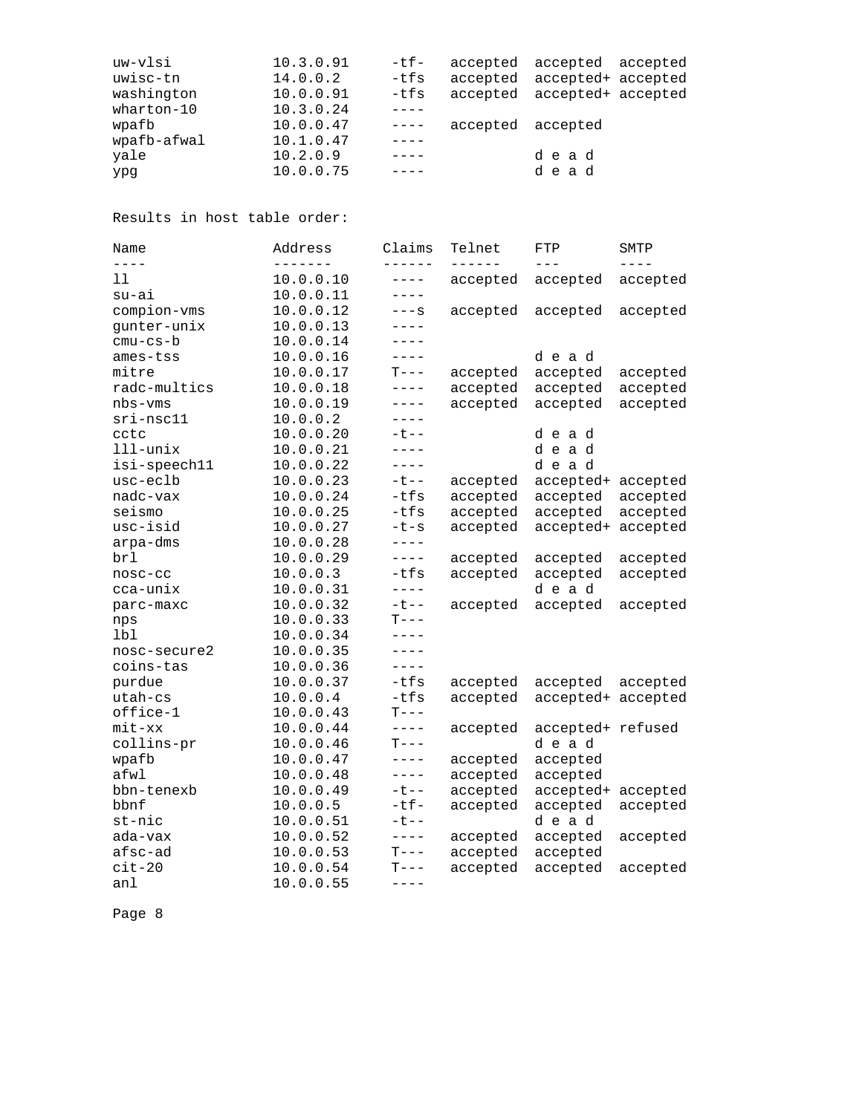| uw-vlsi     | 10.3.0.91 | -tf-        |                   | accepted accepted accepted  |
|-------------|-----------|-------------|-------------------|-----------------------------|
| uwisc-tn    | 14.0.0.2  | -tfs        |                   | accepted accepted+ accepted |
| washington  | 10.0.0.91 | -tfs        |                   | accepted accepted+ accepted |
| wharton-10  | 10.3.0.24 |             |                   |                             |
| wpafb       | 10.0.0.47 | $- - - - -$ | accepted accepted |                             |
| wpafb-afwal | 10.1.0.47 |             |                   |                             |
| yale        | 10.2.0.9  |             |                   | dead                        |
| ypg         | 10.0.0.75 |             |                   | dead                        |
|             |           |             |                   |                             |

Results in host table order:

| Name         | Address       | Claims      | Telnet   | FTP                | SMTP      |
|--------------|---------------|-------------|----------|--------------------|-----------|
| $- - - -$    | $\frac{1}{2}$ | -------     | ------   | $---$              | $- - - -$ |
| 11           | 10.0.0.10     | $---$       | accepted | accepted           | accepted  |
| su-ai        | 10.0.0.11     | ----        |          |                    |           |
| compion-vms  | 10.0.0.12     | $---S$      | accepted | accepted           | accepted  |
| gunter-unix  | 10.0.0.13     | $---$       |          |                    |           |
| $cmu-cs-b$   | 10.0.0.14     | $---$       |          |                    |           |
| ames-tss     | 10.0.0.16     | $---$       |          | dead               |           |
| mitre        | 10.0.0.17     | $T---$      | accepted | accepted           | accepted  |
| radc-multics | 10.0.0.18     | $---$       | accepted | accepted           | accepted  |
| $nbs-vms$    | 10.0.0.19     | $---$       | accepted | accepted           | accepted  |
| sri-nsc11    | 10.0.0.2      | $- - - -$   |          |                    |           |
| cctc         | 10.0.0.20     | $-t$ $-$    |          | dead               |           |
| 111-unix     | 10.0.0.21     | $---$       |          | dead               |           |
| isi-speech11 | 10.0.0.22     | $- - - -$   |          | dead               |           |
| usc-eclb     | 10.0.0.23     | $-t$ --     | accepted | accepted+          | accepted  |
| nadc-vax     | 10.0.0.24     | $-tfs$      | accepted | accepted           | accepted  |
| seismo       | 10.0.0.25     | $-tfs$      | accepted | accepted           | accepted  |
| usc-isid     | 10.0.0.27     | $-t-s$      | accepted | accepted+          | accepted  |
| arpa-dms     | 10.0.0.28     | $- - - -$   |          |                    |           |
| brl          | 10.0.0.29     | $---$       | accepted | accepted           | accepted  |
| nosc-cc      | 10.0.0.3      | $-tfs$      | accepted | accepted           | accepted  |
| cca-unix     | 10.0.0.31     | $- - - -$   |          | dead               |           |
| parc-maxc    | 10.0.0.32     | $-t$ --     | accepted | accepted           | accepted  |
| nps          | 10.0.0.33     | $T---$      |          |                    |           |
| lbl          | 10.0.0.34     | $---$       |          |                    |           |
| nosc-secure2 | 10.0.0.35     | $- - - -$   |          |                    |           |
| coins-tas    | 10.0.0.36     | $- - - -$   |          |                    |           |
| purdue       | 10.0.0.37     | $-tfs$      | accepted | accepted           | accepted  |
| utah-cs      | 10.0.0.4      | $-tfs$      | accepted | accepted+ accepted |           |
| office-1     | 10.0.0.43     | $T---$      |          |                    |           |
| $mit$ - $xx$ | 10.0.0.44     | $- - - - -$ | accepted | accepted+ refused  |           |
| collins-pr   | 10.0.0.46     | $T---$      |          | dead               |           |
| wpafb        | 10.0.0.47     | $---$       | accepted | accepted           |           |
| afwl         | 10.0.0.48     | $---$       | accepted | accepted           |           |
| bbn-tenexb   | 10.0.0.49     | $-t$ --     | accepted | accepted+          | accepted  |
| bbnf         | 10.0.0.5      | $-tf-$      | accepted | accepted           | accepted  |
| st-nic       | 10.0.0.51     | $-t$ - $-$  |          | dead               |           |
| ada-vax      | 10.0.0.52     | $- - - -$   | accepted | accepted           | accepted  |
| afsc-ad      | 10.0.0.53     | $T---$      | accepted | accepted           |           |
| $cit-20$     | 10.0.0.54     | $T---$      | accepted | accepted           | accepted  |
| anl          | 10.0.0.55     | $---$       |          |                    |           |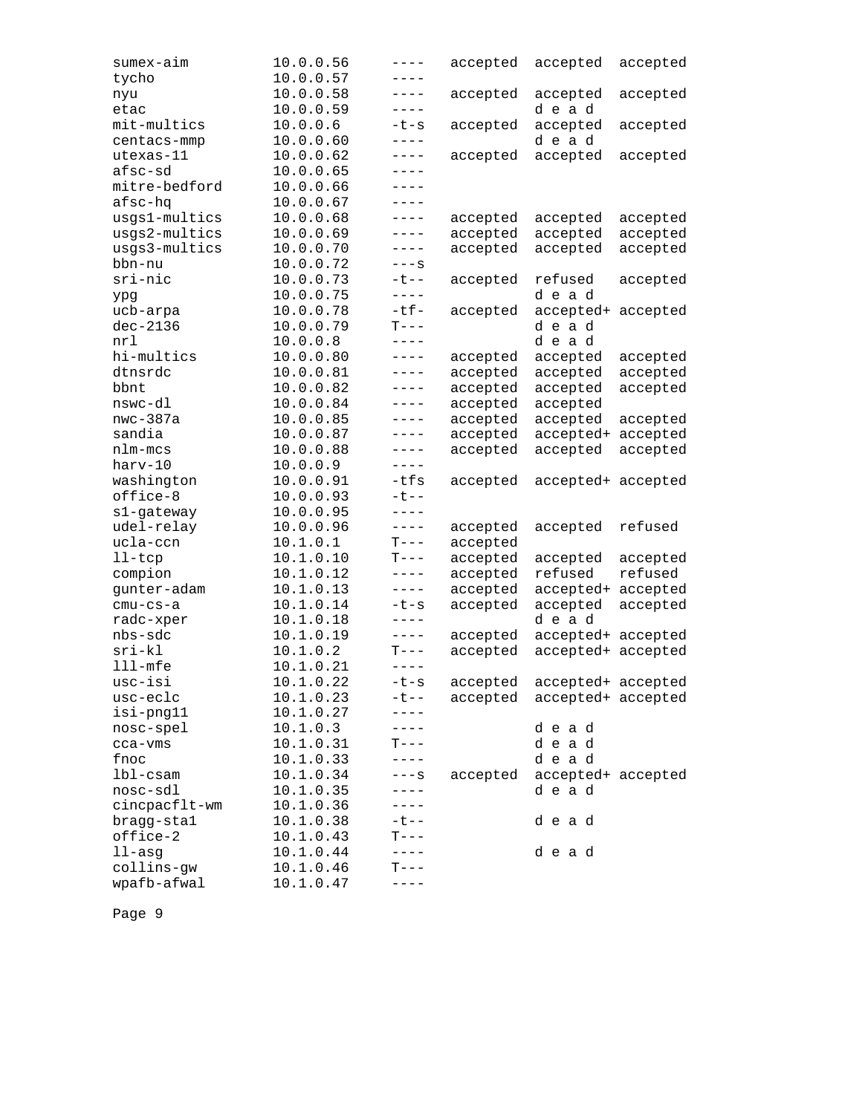| sumex-aim     | 10.0.0.56 | $- - - -$ | accepted | accepted           | accepted |
|---------------|-----------|-----------|----------|--------------------|----------|
| tycho         | 10.0.0.57 | $- - - -$ |          |                    |          |
| nyu           | 10.0.0.58 | ----      | accepted | accepted           | accepted |
| etac          | 10.0.0.59 | $---$     |          | dead               |          |
| mit-multics   | 10.0.0.6  | $-t-s$    | accepted | accepted           | accepted |
| centacs-mmp   | 10.0.0.60 | $---$     |          | dead               |          |
| utexas-11     | 10.0.0.62 | $---$     | accepted | accepted           | accepted |
| afsc-sd       | 10.0.0.65 | $---$     |          |                    |          |
| mitre-bedford | 10.0.0.66 | $---$     |          |                    |          |
| afsc-hq       | 10.0.0.67 | $---$     |          |                    |          |
| usgs1-multics | 10.0.0.68 | $---$     | accepted | accepted           | accepted |
| usgs2-multics | 10.0.0.69 | $---$     | accepted | accepted           | accepted |
| usgs3-multics | 10.0.0.70 | $---$     | accepted | accepted           | accepted |
| bbn-nu        | 10.0.0.72 | $---S$    |          |                    |          |
| sri-nic       | 10.0.0.73 | $-t$ $-$  | accepted | refused            | accepted |
| ypg           | 10.0.0.75 | $---$     |          | dead               |          |
| ucb-arpa      | 10.0.0.78 | $-tf-$    | accepted | accepted+          | accepted |
| $dec-2136$    | 10.0.0.79 | $T---$    |          | dead               |          |
| nrl           | 10.0.0.8  | $- - - -$ |          | dead               |          |
| hi-multics    | 10.0.0.80 | $---$     | accepted | accepted           | accepted |
| dtnsrdc       | 10.0.0.81 | $---$     | accepted | accepted           | accepted |
| bbnt          | 10.0.0.82 | $---$     | accepted | accepted           | accepted |
| nswc-dl       | 10.0.0.84 | $---$     | accepted | accepted           |          |
| $nwc-387a$    | 10.0.0.85 | $---$     | accepted | accepted           | accepted |
| sandia        | 10.0.0.87 | $---$     | accepted | accepted+          | accepted |
| nlm-mcs       | 10.0.0.88 | $-- ---$  | accepted | accepted           | accepted |
| harv-10       | 10.0.0.9  | $---$     |          |                    |          |
| washington    | 10.0.0.91 | -tfs      | accepted | accepted+ accepted |          |
| office-8      | 10.0.0.93 | $- t - -$ |          |                    |          |
| s1-gateway    | 10.0.0.95 | $---$     |          |                    |          |
| udel-relay    | 10.0.0.96 | $- - - -$ | accepted | accepted           | refused  |
| ucla-ccn      | 10.1.0.1  | $T---$    | accepted |                    |          |
| $l$ l-t $cp$  | 10.1.0.10 | $T---$    | accepted | accepted           | accepted |
| compion       | 10.1.0.12 | $---$     | accepted | refused            | refused  |
| gunter-adam   | 10.1.0.13 | $---$     | accepted | accepted+          | accepted |
| $cmu-cs-a$    | 10.1.0.14 | $-t-s$    | accepted | accepted           | accepted |
| radc-xper     | 10.1.0.18 | $---$     |          | dead               |          |
| nbs-sdc       | 10.1.0.19 | $---$     | accepted | accepted+ accepted |          |
| $sri-kl$      | 10.1.0.2  | $T---$    | accepted | accepted+ accepted |          |
| $111 - mfe$   | 10.1.0.21 | $- - - -$ |          |                    |          |
| usc-isi       | 10.1.0.22 | $-t-s$    | accepted | accepted+ accepted |          |
| usc-eclc      | 10.1.0.23 | ーセーー      | accepted | accepted+ accepted |          |
| isi-png11     | 10.1.0.27 |           |          |                    |          |
| nosc-spel     | 10.1.0.3  | ----      |          | dead               |          |
| cca-vms       | 10.1.0.31 | $T---$    |          | dead               |          |
| fnoc          | 10.1.0.33 | $---$     |          | dead               |          |
| $1b1-cs$ am   | 10.1.0.34 | –––s      | accepted | accepted+ accepted |          |
| nosc-sdl      | 10.1.0.35 | $---$     |          | dead               |          |
| cincpacflt-wm | 10.1.0.36 | $---$     |          |                    |          |
| bragg-stal    | 10.1.0.38 | -t--      |          | dead               |          |
| office-2      | 10.1.0.43 | $T---$    |          |                    |          |
| $11 - asg$    | 10.1.0.44 | $---$     |          | dead               |          |
| collins-gw    | 10.1.0.46 | $T---$    |          |                    |          |
| wpafb-afwal   | 10.1.0.47 |           |          |                    |          |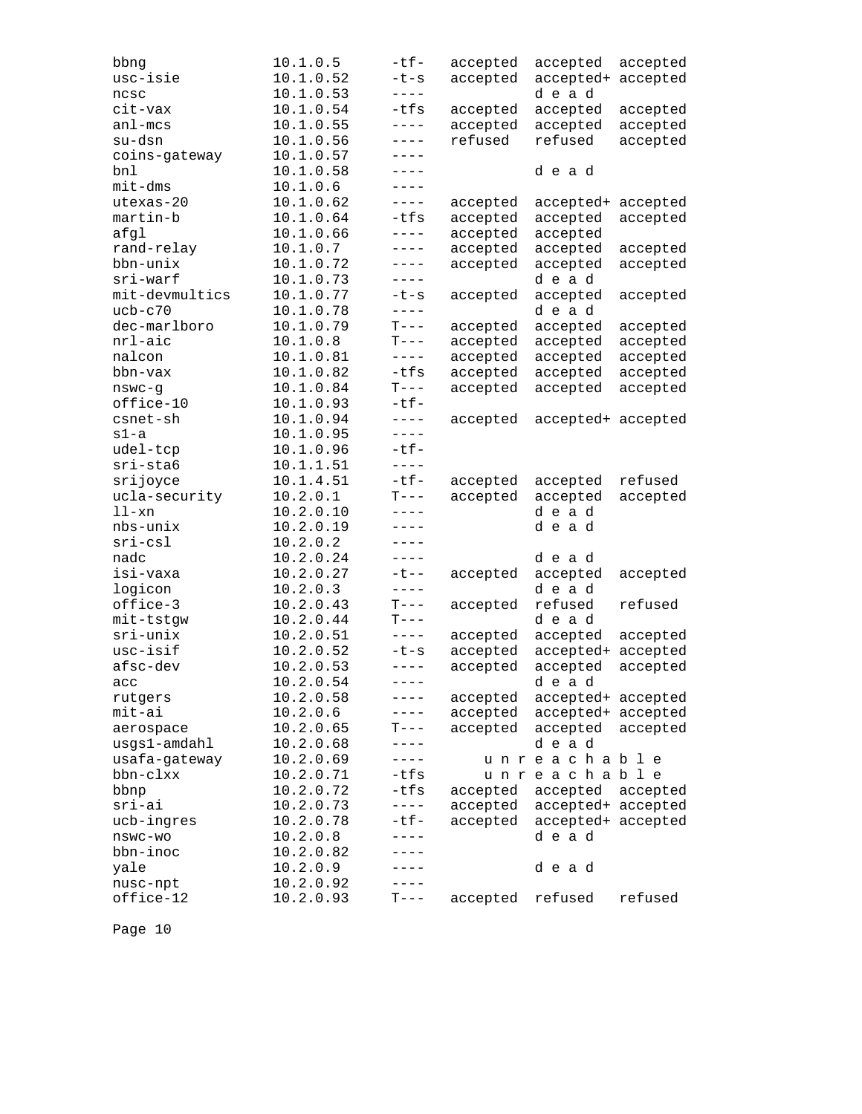| usc-isie<br>10.1.0.52<br>$-t-s$<br>accepted<br>accepted+<br>10.1.0.53<br>$- - - -$<br>dead<br>ncsc<br>-tfs<br>cit-vax<br>10.1.0.54<br>accepted<br>accepted<br>$- - - -$<br>$an1$ -mcs<br>10.1.0.55<br>accepted<br>accepted<br>su-dsn<br>10.1.0.56<br>refused<br>refused<br>$- - - -$<br>coins-gateway<br>10.1.0.57<br>$---$<br>bnl<br>10.1.0.58<br>dead<br>----<br>$mit$ -dms<br>10.1.0.6<br>$----$<br>utexas-20<br>10.1.0.62<br>$-- - -$<br>accepted<br>accepted+<br>$-tfs$<br>martin-b<br>10.1.0.64<br>accepted<br>accepted | accepted<br>accepted<br>accepted<br>accepted |
|-------------------------------------------------------------------------------------------------------------------------------------------------------------------------------------------------------------------------------------------------------------------------------------------------------------------------------------------------------------------------------------------------------------------------------------------------------------------------------------------------------------------------------|----------------------------------------------|
|                                                                                                                                                                                                                                                                                                                                                                                                                                                                                                                               |                                              |
|                                                                                                                                                                                                                                                                                                                                                                                                                                                                                                                               |                                              |
|                                                                                                                                                                                                                                                                                                                                                                                                                                                                                                                               |                                              |
|                                                                                                                                                                                                                                                                                                                                                                                                                                                                                                                               |                                              |
|                                                                                                                                                                                                                                                                                                                                                                                                                                                                                                                               |                                              |
|                                                                                                                                                                                                                                                                                                                                                                                                                                                                                                                               |                                              |
|                                                                                                                                                                                                                                                                                                                                                                                                                                                                                                                               |                                              |
|                                                                                                                                                                                                                                                                                                                                                                                                                                                                                                                               |                                              |
|                                                                                                                                                                                                                                                                                                                                                                                                                                                                                                                               | accepted                                     |
|                                                                                                                                                                                                                                                                                                                                                                                                                                                                                                                               | accepted                                     |
| afgl<br>10.1.0.66<br>accepted<br>accepted<br>$- - - -$                                                                                                                                                                                                                                                                                                                                                                                                                                                                        |                                              |
| rand-relay<br>10.1.0.7<br>accepted<br>$---$                                                                                                                                                                                                                                                                                                                                                                                                                                                                                   |                                              |
| accepted<br>bbn-unix<br>$---$                                                                                                                                                                                                                                                                                                                                                                                                                                                                                                 | accepted                                     |
| 10.1.0.72<br>accepted<br>accepted                                                                                                                                                                                                                                                                                                                                                                                                                                                                                             | accepted                                     |
| sri-warf<br>dead<br>10.1.0.73<br>$---$                                                                                                                                                                                                                                                                                                                                                                                                                                                                                        |                                              |
| mit-devmultics<br>10.1.0.77<br>accepted<br>$-t-s$<br>accepted                                                                                                                                                                                                                                                                                                                                                                                                                                                                 | accepted                                     |
| $- - - -$<br>$ucb-c70$<br>10.1.0.78<br>dead                                                                                                                                                                                                                                                                                                                                                                                                                                                                                   |                                              |
| dec-marlboro<br>10.1.0.79<br>$T---$<br>accepted<br>accepted                                                                                                                                                                                                                                                                                                                                                                                                                                                                   | accepted                                     |
| $T---$<br>nrl-aic<br>10.1.0.8<br>accepted<br>accepted                                                                                                                                                                                                                                                                                                                                                                                                                                                                         | accepted                                     |
| $- - - - -$<br>nalcon<br>10.1.0.81<br>accepted<br>accepted                                                                                                                                                                                                                                                                                                                                                                                                                                                                    | accepted                                     |
| $-tfs$<br>bbn-vax<br>10.1.0.82<br>accepted<br>accepted                                                                                                                                                                                                                                                                                                                                                                                                                                                                        | accepted                                     |
| $T---$<br>10.1.0.84<br>accepted<br>accepted<br>$n$ swc-g                                                                                                                                                                                                                                                                                                                                                                                                                                                                      | accepted                                     |
| $-tf-$<br>office-10<br>10.1.0.93                                                                                                                                                                                                                                                                                                                                                                                                                                                                                              |                                              |
| csnet-sh<br>10.1.0.94<br>$- - - -$<br>accepted                                                                                                                                                                                                                                                                                                                                                                                                                                                                                | accepted+ accepted                           |
| 10.1.0.95<br>$s1-a$<br>$---$                                                                                                                                                                                                                                                                                                                                                                                                                                                                                                  |                                              |
| $-tf-$<br>udel-tcp<br>10.1.0.96                                                                                                                                                                                                                                                                                                                                                                                                                                                                                               |                                              |
| sri-sta6<br>$- - - -$<br>10.1.1.51                                                                                                                                                                                                                                                                                                                                                                                                                                                                                            |                                              |
| srijoyce<br>$-tf-$<br>10.1.4.51<br>accepted<br>accepted                                                                                                                                                                                                                                                                                                                                                                                                                                                                       | refused                                      |
| $T---$<br>ucla-security<br>10.2.0.1<br>accepted<br>accepted                                                                                                                                                                                                                                                                                                                                                                                                                                                                   | accepted                                     |
| $11-xn$<br>10.2.0.10<br>dead<br>$- - - -$                                                                                                                                                                                                                                                                                                                                                                                                                                                                                     |                                              |
| 10.2.0.19<br>nbs-unix<br>dead<br>$---$                                                                                                                                                                                                                                                                                                                                                                                                                                                                                        |                                              |
| 10.2.0.2<br>$sri-csl$<br>----                                                                                                                                                                                                                                                                                                                                                                                                                                                                                                 |                                              |
| nadc<br>10.2.0.24<br>$---$<br>dead                                                                                                                                                                                                                                                                                                                                                                                                                                                                                            |                                              |
| isi-vaxa<br>10.2.0.27<br>$-t$ - $-$<br>accepted<br>accepted                                                                                                                                                                                                                                                                                                                                                                                                                                                                   | accepted                                     |
| $- - - -$<br>logicon<br>10.2.0.3<br>dead                                                                                                                                                                                                                                                                                                                                                                                                                                                                                      |                                              |
| refused<br>office-3<br>10.2.0.43<br>$T---$<br>accepted                                                                                                                                                                                                                                                                                                                                                                                                                                                                        | refused                                      |
| 10.2.0.44<br>mit-tstgw<br>$T---$<br>dead                                                                                                                                                                                                                                                                                                                                                                                                                                                                                      |                                              |
| $sri-unix$<br>10.2.0.51<br>$- - - - -$<br>accepted<br>accepted                                                                                                                                                                                                                                                                                                                                                                                                                                                                | accepted                                     |
| usc-isif<br>10.2.0.52<br>accepted<br>$-t-s$<br>accepted+                                                                                                                                                                                                                                                                                                                                                                                                                                                                      | accepted                                     |
| afsc-dev<br>10.2.0.53<br>$---$<br>accepted<br>accepted                                                                                                                                                                                                                                                                                                                                                                                                                                                                        | accepted                                     |
| 10.2.0.54<br>$- - - -$<br>dead<br>acc                                                                                                                                                                                                                                                                                                                                                                                                                                                                                         |                                              |
| 10.2.0.58<br>accepted<br>rutgers<br>$---$                                                                                                                                                                                                                                                                                                                                                                                                                                                                                     | accepted+ accepted                           |
| 10.2.0.6<br>$mit-ai$<br>accepted<br>----                                                                                                                                                                                                                                                                                                                                                                                                                                                                                      | accepted+ accepted                           |
| 10.2.0.65<br>accepted<br>accepted<br>$T---$<br>aerospace                                                                                                                                                                                                                                                                                                                                                                                                                                                                      | accepted                                     |
| usgs1-amdahl<br>dead<br>----                                                                                                                                                                                                                                                                                                                                                                                                                                                                                                  |                                              |
| 10.2.0.68<br>usafa-gateway<br>$---$                                                                                                                                                                                                                                                                                                                                                                                                                                                                                           |                                              |
| 10.2.0.69<br>unreachable<br>$bbn$ -clxx                                                                                                                                                                                                                                                                                                                                                                                                                                                                                       |                                              |
| $-tfs$<br>unreachable<br>10.2.0.71                                                                                                                                                                                                                                                                                                                                                                                                                                                                                            |                                              |
| 10.2.0.72<br>$-tfs$<br>bbnp<br>accepted<br>accepted                                                                                                                                                                                                                                                                                                                                                                                                                                                                           | accepted                                     |
| sri-ai<br>10.2.0.73<br>$- - - -$<br>accepted                                                                                                                                                                                                                                                                                                                                                                                                                                                                                  | accepted+ accepted                           |
| $-tf-$<br>ucb-ingres<br>10.2.0.78<br>accepted                                                                                                                                                                                                                                                                                                                                                                                                                                                                                 | accepted+ accepted                           |
| dead<br>10.2.0.8<br>$---$<br>nswc-wo                                                                                                                                                                                                                                                                                                                                                                                                                                                                                          |                                              |
| bbn-inoc<br>10.2.0.82<br>----                                                                                                                                                                                                                                                                                                                                                                                                                                                                                                 |                                              |
| 10.2.0.9<br>yale<br>dead<br>----                                                                                                                                                                                                                                                                                                                                                                                                                                                                                              |                                              |
| 10.2.0.92<br>nusc-npt<br>$- - - -$                                                                                                                                                                                                                                                                                                                                                                                                                                                                                            |                                              |
| office-12<br>10.2.0.93<br>$\mathbb{T}---$<br>refused<br>accepted                                                                                                                                                                                                                                                                                                                                                                                                                                                              | refused                                      |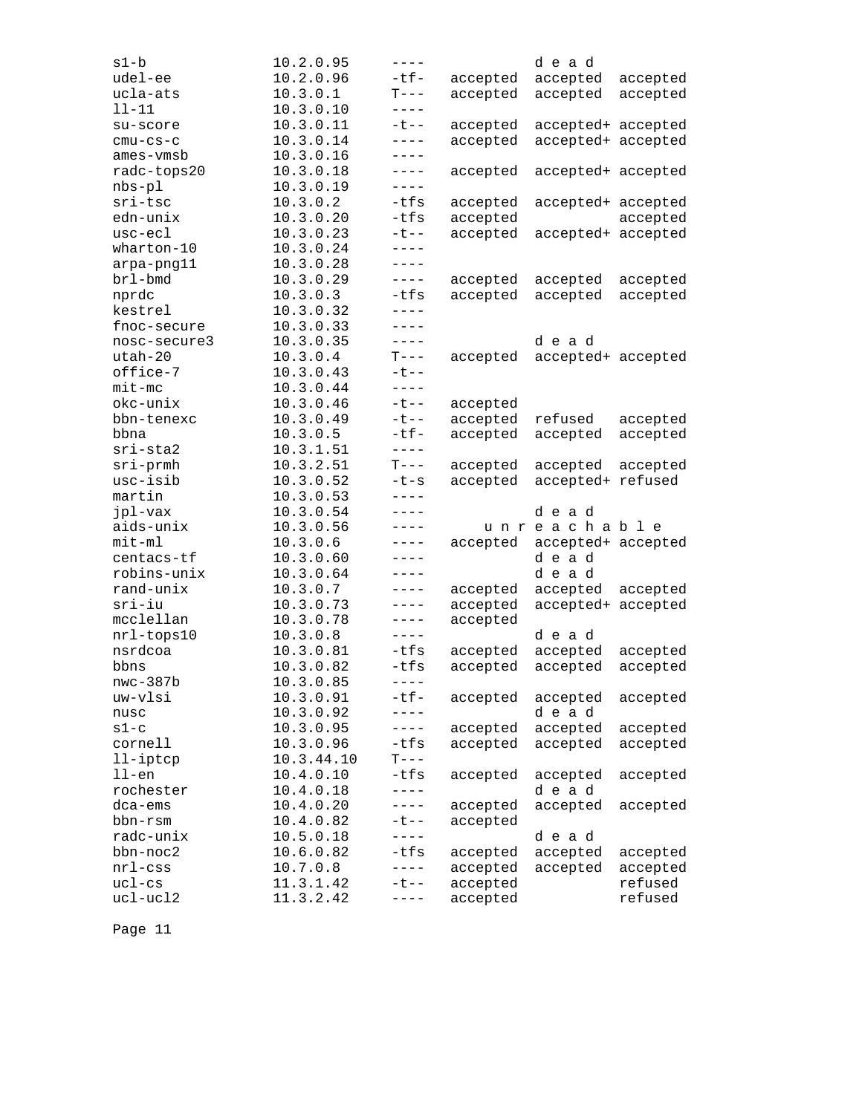| s1-b                 | 10.2.0.95              | $---$                   |                      | dead               |                    |
|----------------------|------------------------|-------------------------|----------------------|--------------------|--------------------|
| udel-ee              | 10.2.0.96              | $-tf-$                  | accepted             | accepted           | accepted           |
| ucla-ats             | 10.3.0.1               | $T---$                  | accepted             | accepted           | accepted           |
| $11 - 11$            | 10.3.0.10              | $- - - - -$             |                      |                    |                    |
| su-score             | 10.3.0.11              | $-t$ --                 | accepted             | accepted+ accepted |                    |
| $cmu-cs-c$           | 10.3.0.14              | $---$                   | accepted             | accepted+ accepted |                    |
| ames-vmsb            | 10.3.0.16              | $---$                   |                      |                    |                    |
| radc-tops20          | 10.3.0.18              | $---$                   | accepted             | accepted+ accepted |                    |
| $nbs-p1$             | 10.3.0.19              | $---$                   |                      |                    |                    |
| sri-tsc              | 10.3.0.2               | $-tfs$                  | accepted             | accepted+ accepted |                    |
| edn-unix             | 10.3.0.20              | $-tfs$                  | accepted             |                    | accepted           |
| usc-ecl              | 10.3.0.23              | $-t$ --                 | accepted             | accepted+ accepted |                    |
| wharton-10           | 10.3.0.24              | $- - - -$               |                      |                    |                    |
| arpa-png11           | 10.3.0.28              | $----$                  |                      |                    |                    |
| brl-bmd              | 10.3.0.29              | $---$                   | accepted             | accepted           | accepted           |
| nprdc                | 10.3.0.3               | -tfs                    | accepted             | accepted           | accepted           |
| kestrel              | 10.3.0.32              | $- - - -$               |                      |                    |                    |
| fnoc-secure          | 10.3.0.33              | $- - - -$               |                      |                    |                    |
| nosc-secure3         | 10.3.0.35              | $---$                   |                      | dead               |                    |
| $utah-20$            | 10.3.0.4               | $T---$                  | accepted             | accepted+ accepted |                    |
| office-7             | 10.3.0.43              | $-t$ --                 |                      |                    |                    |
| $mit$ -mc            | 10.3.0.44              | $---$                   |                      |                    |                    |
| okc-unix             | 10.3.0.46              | $-t$ --                 | accepted             |                    |                    |
| bbn-tenexc           | 10.3.0.49              | $-t$ --                 | accepted             | refused            | accepted           |
| bbna                 | 10.3.0.5               | $-tf-$                  | accepted             | accepted           | accepted           |
| sri-sta2             | 10.3.1.51              | $- - - -$               |                      |                    |                    |
| $sri$ -prmh          | 10.3.2.51              | $T---$                  | accepted             | accepted           | accepted           |
| usc-isib             | 10.3.0.52              | $-t-s$                  | accepted             | accepted+          | refused            |
| martin               | 10.3.0.53              | $- - - -$               |                      |                    |                    |
| jpl-vax              | 10.3.0.54              | $- - - -$               |                      | dead               |                    |
| aids-unix            | 10.3.0.56              | $---$                   |                      | unreachable        |                    |
| $mit-m1$             | 10.3.0.6               | $---$                   | accepted             | accepted+ accepted |                    |
| centacs-tf           | 10.3.0.60              | $----$                  |                      | dead               |                    |
| robins-unix          | 10.3.0.64              | $---$                   |                      | dead               |                    |
| rand-unix            | 10.3.0.7               | $- - - -$               | accepted             | accepted           | accepted           |
| sri-iu               | 10.3.0.73              | ----                    | accepted             | accepted+ accepted |                    |
| mcclellan            | 10.3.0.78              | $---$                   | accepted             |                    |                    |
| nrl-tops10           | 10.3.0.8               | $---$                   |                      | dead               |                    |
| nsrdcoa              | 10.3.0.81              | $-tfs$                  | accepted             | accepted           | accepted           |
| bbns                 | 10.3.0.82              | -tfs                    | accepted             | accepted           | accepted           |
| $nwc-387b$           | 10.3.0.85              | $- - - -$               |                      |                    |                    |
| uw-vlsi              | 10.3.0.91              | $-tf-$                  | accepted             | accepted           | accepted           |
| nusc                 | 10.3.0.92              |                         |                      | dead               |                    |
| $s1-c$               |                        |                         |                      |                    |                    |
| cornell              |                        |                         |                      |                    |                    |
|                      | 10.3.0.95              | $---$                   | accepted             | accepted           | accepted           |
|                      | 10.3.0.96              | $-tfs$                  | accepted             | accepted           | accepted           |
| 11-iptcp             | 10.3.44.10             | $T---$                  |                      |                    |                    |
| $11$ -en             | 10.4.0.10              | $-tfs$                  | accepted             | accepted           | accepted           |
| rochester            | 10.4.0.18              | $- - - -$               |                      | dead               |                    |
| $dca-ems$            | 10.4.0.20              | $---$                   | accepted             | accepted           | accepted           |
| bbn-rsm              | 10.4.0.82              | $-t$ $-$                | accepted             |                    |                    |
| radc-unix            | 10.5.0.18              | $- - - -$               |                      | dead               |                    |
| bbn-noc2             | 10.6.0.82              | $-tfs$                  | accepted             | accepted           | accepted           |
| $nrl$ -css           | 10.7.0.8               | $- - - -$               | accepted             | accepted           | accepted           |
| $uc1-cs$<br>ucl-ucl2 | 11.3.1.42<br>11.3.2.42 | $-t$ - $-$<br>$- - - -$ | accepted<br>accepted |                    | refused<br>refused |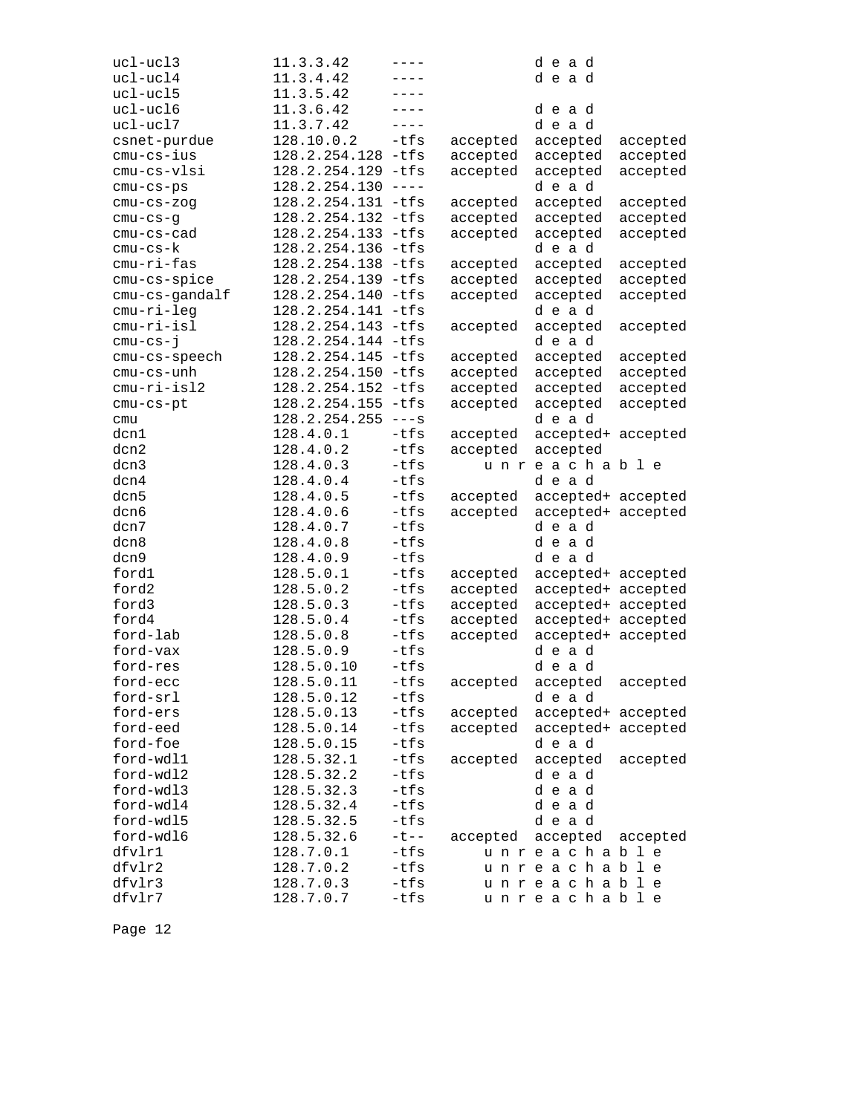| ucl-ucl3         | 11.3.3.42              | ----                                                                                                                                                                                                                                                                                                                                                                                         |          | dead                       |          |
|------------------|------------------------|----------------------------------------------------------------------------------------------------------------------------------------------------------------------------------------------------------------------------------------------------------------------------------------------------------------------------------------------------------------------------------------------|----------|----------------------------|----------|
| ucl-ucl4         | 11.3.4.42              | ----                                                                                                                                                                                                                                                                                                                                                                                         |          | dead                       |          |
| ucl-ucl5         | 11.3.5.42              |                                                                                                                                                                                                                                                                                                                                                                                              |          |                            |          |
| ucl-ucl6         | 11.3.6.42              | ----                                                                                                                                                                                                                                                                                                                                                                                         |          | dead                       |          |
| ucl-ucl7         | 11.3.7.42              | $---$                                                                                                                                                                                                                                                                                                                                                                                        |          | dead                       |          |
| csnet-purdue     | 128.10.0.2             | $-tfs$                                                                                                                                                                                                                                                                                                                                                                                       | accepted | accepted                   | accepted |
| $cmu-cs-ius$     | 128.2.254.128 -tfs     |                                                                                                                                                                                                                                                                                                                                                                                              | accepted | accepted                   | accepted |
| cmu-cs-vlsi      | 128.2.254.129 -tfs     |                                                                                                                                                                                                                                                                                                                                                                                              | accepted | accepted                   | accepted |
| $cmu-cs-ps$      | 128.2.254.130          | $\frac{1}{2} \frac{1}{2} \frac{1}{2} \frac{1}{2} \frac{1}{2} \frac{1}{2} \frac{1}{2} \frac{1}{2} \frac{1}{2} \frac{1}{2} \frac{1}{2} \frac{1}{2} \frac{1}{2} \frac{1}{2} \frac{1}{2} \frac{1}{2} \frac{1}{2} \frac{1}{2} \frac{1}{2} \frac{1}{2} \frac{1}{2} \frac{1}{2} \frac{1}{2} \frac{1}{2} \frac{1}{2} \frac{1}{2} \frac{1}{2} \frac{1}{2} \frac{1}{2} \frac{1}{2} \frac{1}{2} \frac{$ |          | dead                       |          |
| $cmu-cs-zog$     | 128.2.254.131 -tfs     |                                                                                                                                                                                                                                                                                                                                                                                              | accepted | accepted                   | accepted |
| $cmu-cs-g$       | 128.2.254.132 -tfs     |                                                                                                                                                                                                                                                                                                                                                                                              | accepted | accepted                   | accepted |
| cmu-cs-cad       | 128.2.254.133 -tfs     |                                                                                                                                                                                                                                                                                                                                                                                              | accepted | accepted                   | accepted |
| $cmu-cs-k$       | 128.2.254.136          | -tfs                                                                                                                                                                                                                                                                                                                                                                                         |          | dead                       |          |
| cmu-ri-fas       | 128.2.254.138          | $-tfs$                                                                                                                                                                                                                                                                                                                                                                                       | accepted | accepted                   | accepted |
| cmu-cs-spice     | 128.2.254.139 -tfs     |                                                                                                                                                                                                                                                                                                                                                                                              | accepted | accepted                   | accepted |
| cmu-cs-gandalf   | 128.2.254.140          | $-tfs$                                                                                                                                                                                                                                                                                                                                                                                       | accepted | accepted                   | accepted |
| cmu-ri-leg       | 128.2.254.141 -tfs     |                                                                                                                                                                                                                                                                                                                                                                                              |          | dead                       |          |
| cmu-ri-isl       | 128.2.254.143 -tfs     |                                                                                                                                                                                                                                                                                                                                                                                              | accepted | accepted                   | accepted |
| $cmu-cs-j$       | 128.2.254.144 -tfs     |                                                                                                                                                                                                                                                                                                                                                                                              |          | dead                       |          |
| cmu-cs-speech    | 128.2.254.145          | $-tfs$                                                                                                                                                                                                                                                                                                                                                                                       | accepted | accepted                   | accepted |
| cmu-cs-unh       | 128.2.254.150          | $-tfs$                                                                                                                                                                                                                                                                                                                                                                                       | accepted | accepted                   | accepted |
| cmu-ri-isl2      | 128.2.254.152 -tfs     |                                                                                                                                                                                                                                                                                                                                                                                              | accepted | accepted                   | accepted |
| cmu-cs-pt        | 128.2.254.155          | $-tfs$                                                                                                                                                                                                                                                                                                                                                                                       | accepted | accepted                   | accepted |
| cmu              | 128.2.254.255          | $---s$                                                                                                                                                                                                                                                                                                                                                                                       |          | dead                       |          |
| dcn1             | 128.4.0.1              | $-tfs$                                                                                                                                                                                                                                                                                                                                                                                       | accepted | accepted+ accepted         |          |
| dcn2             | 128.4.0.2              | $-tfs$                                                                                                                                                                                                                                                                                                                                                                                       | accepted | accepted                   |          |
| dcn3             | 128.4.0.3              | $-tfs$                                                                                                                                                                                                                                                                                                                                                                                       |          | unreachable                |          |
| dcn4             | 128.4.0.4              | -tfs                                                                                                                                                                                                                                                                                                                                                                                         |          | dead                       |          |
| dcn5             | 128.4.0.5              | $-tfs$                                                                                                                                                                                                                                                                                                                                                                                       | accepted | accepted+ accepted         |          |
| dcn6             | 128.4.0.6              | $-tfs$                                                                                                                                                                                                                                                                                                                                                                                       | accepted | accepted+ accepted         |          |
|                  |                        |                                                                                                                                                                                                                                                                                                                                                                                              |          |                            |          |
|                  |                        |                                                                                                                                                                                                                                                                                                                                                                                              |          |                            |          |
| dcn7             | 128.4.0.7              | $-tfs$                                                                                                                                                                                                                                                                                                                                                                                       |          | dead                       |          |
| dcn8             | 128.4.0.8              | $-tfs$                                                                                                                                                                                                                                                                                                                                                                                       |          | dead                       |          |
| dcn9             | 128.4.0.9              | $-tfs$                                                                                                                                                                                                                                                                                                                                                                                       |          | dead                       |          |
| ford1            | 128.5.0.1              | -tfs                                                                                                                                                                                                                                                                                                                                                                                         | accepted | accepted+ accepted         |          |
| ford2            | 128.5.0.2              | -tfs                                                                                                                                                                                                                                                                                                                                                                                         | accepted | accepted+ accepted         |          |
| ford3            | 128.5.0.3              | $-tfs$                                                                                                                                                                                                                                                                                                                                                                                       | accepted | accepted+ accepted         |          |
| ford4            | 128.5.0.4              | $-tfs$                                                                                                                                                                                                                                                                                                                                                                                       | accepted | accepted+ accepted         |          |
| ford-lab         | 128.5.0.8              | -tfs                                                                                                                                                                                                                                                                                                                                                                                         | accepted | accepted+ accepted         |          |
| ford-vax         | 128.5.0.9              | $-tfs$                                                                                                                                                                                                                                                                                                                                                                                       |          | dead                       |          |
| ford-res         | 128.5.0.10             | $-tfs$                                                                                                                                                                                                                                                                                                                                                                                       |          | dead                       |          |
| ford-ecc         | 128.5.0.11             | $-tfs$                                                                                                                                                                                                                                                                                                                                                                                       | accepted | accepted                   | accepted |
| ford-srl         | 128.5.0.12             | $-tfs$                                                                                                                                                                                                                                                                                                                                                                                       |          | dead                       |          |
| ford-ers         | 128.5.0.13             | -tfs                                                                                                                                                                                                                                                                                                                                                                                         | accepted | accepted+ accepted         |          |
| ford-eed         | 128.5.0.14             | $-tfs$                                                                                                                                                                                                                                                                                                                                                                                       | accepted | accepted+ accepted         |          |
| ford-foe         | 128.5.0.15             | $-tfs$                                                                                                                                                                                                                                                                                                                                                                                       |          | dead                       |          |
| ford-wdl1        | 128.5.32.1             | -tfs                                                                                                                                                                                                                                                                                                                                                                                         | accepted | accepted                   | accepted |
| ford-wdl2        | 128.5.32.2             | $-tfs$                                                                                                                                                                                                                                                                                                                                                                                       |          | dead                       |          |
| ford-wdl3        | 128.5.32.3             | $-tfs$                                                                                                                                                                                                                                                                                                                                                                                       |          | dead                       |          |
| ford-wdl4        | 128.5.32.4             | $-tfs$                                                                                                                                                                                                                                                                                                                                                                                       |          | dead                       |          |
| ford-wdl5        | 128.5.32.5             | $-tfs$                                                                                                                                                                                                                                                                                                                                                                                       |          | dead                       |          |
| ford-wdl6        | 128.5.32.6             | $- t - -$                                                                                                                                                                                                                                                                                                                                                                                    | accepted | accepted                   | accepted |
| dfvlr1           | 128.7.0.1              | -tfs                                                                                                                                                                                                                                                                                                                                                                                         |          | unreachable                |          |
| dfvlr2           | 128.7.0.2              | -tfs                                                                                                                                                                                                                                                                                                                                                                                         |          | unreachable                |          |
| dfvlr3<br>dfvlr7 | 128.7.0.3<br>128.7.0.7 | $-tfs$<br>-tfs                                                                                                                                                                                                                                                                                                                                                                               |          | unreachable<br>unreachable |          |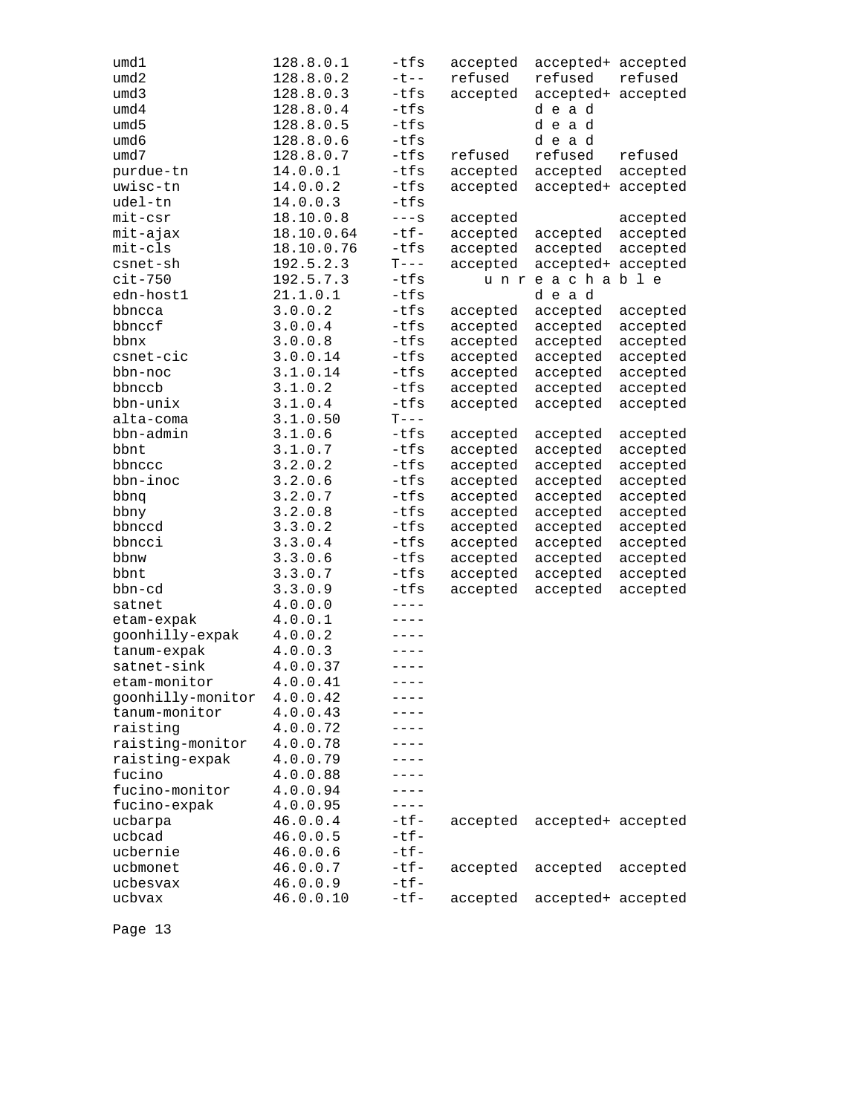| umd1              | 128.8.0.1  | -tfs      | accepted | accepted+ accepted |          |
|-------------------|------------|-----------|----------|--------------------|----------|
| umd2              | 128.8.0.2  | $-t$ --   | refused  | refused            | refused  |
| umd3              | 128.8.0.3  | -tfs      | accepted | accepted+          | accepted |
| umd4              | 128.8.0.4  | -tfs      |          | dead               |          |
| umd5              | 128.8.0.5  | -tfs      |          | dead               |          |
| umd6              | 128.8.0.6  | $-tfs$    |          | dead               |          |
| umd7              | 128.8.0.7  | -tfs      | refused  | refused            | refused  |
| purdue-tn         | 14.0.0.1   | -tfs      | accepted | accepted           | accepted |
| uwisc-tn          | 14.0.0.2   | $-tfs$    | accepted | accepted+          | accepted |
| udel-tn           | 14.0.0.3   | $-tfs$    |          |                    |          |
| mit-csr           | 18.10.0.8  | $---S$    | accepted |                    | accepted |
| mit-ajax          | 18.10.0.64 | $-tf-$    | accepted | accepted           | accepted |
| $mit-cls$         | 18.10.0.76 | -tfs      | accepted | accepted           | accepted |
| csnet-sh          | 192.5.2.3  | $T---$    | accepted | accepted+          | accepted |
| $cit-750$         | 192.5.7.3  | $-tfs$    | u n r    | eachable           |          |
| edn-host1         | 21.1.0.1   | -tfs      |          | dead               |          |
| bbncca            | 3.0.0.2    | -tfs      | accepted | accepted           | accepted |
| bbnccf            | 3.0.0.4    | -tfs      | accepted | accepted           | accepted |
| bbnx              | 3.0.0.8    | -tfs      | accepted | accepted           | accepted |
| csnet-cic         | 3.0.0.14   | -tfs      | accepted | accepted           | accepted |
| bbn-noc           | 3.1.0.14   | -tfs      | accepted | accepted           | accepted |
| bbnccb            | 3.1.0.2    | -tfs      | accepted | accepted           | accepted |
| bbn-unix          | 3.1.0.4    | -tfs      | accepted | accepted           | accepted |
| alta-coma         | 3.1.0.50   | $T---$    |          |                    |          |
| bbn-admin         | 3.1.0.6    | $-tfs$    | accepted | accepted           | accepted |
| bbnt              | 3.1.0.7    | -tfs      | accepted | accepted           | accepted |
| bbnccc            | 3.2.0.2    | -tfs      | accepted | accepted           | accepted |
| bbn-inoc          | 3.2.0.6    | -tfs      | accepted | accepted           | accepted |
| bbnq              | 3.2.0.7    | -tfs      | accepted | accepted           | accepted |
| bbny              | 3.2.0.8    | -tfs      | accepted | accepted           | accepted |
| bbnccd            | 3.3.0.2    | -tfs      | accepted | accepted           | accepted |
| bbncci            | 3.3.0.4    | -tfs      | accepted | accepted           | accepted |
| bbnw              | 3.3.0.6    | $-tfs$    | accepted | accepted           | accepted |
| bbnt              | 3.3.0.7    | -tfs      | accepted | accepted           | accepted |
| bbn-cd            | 3.3.0.9    | $-tfs$    | accepted | accepted           | accepted |
| satnet            | 4.0.0.0    | $- - - -$ |          |                    |          |
| etam-expak        | 4.0.0.1    | $---$     |          |                    |          |
| goonhilly-expak   | 4.0.0.2    | ----      |          |                    |          |
| tanum-expak       | 4.0.0.3    | $- - - -$ |          |                    |          |
| satnet-sink       | 4.0.0.37   | $- - - -$ |          |                    |          |
| etam-monitor      | 4.0.0.41   | $- - - -$ |          |                    |          |
| goonhilly-monitor | 4.0.0.42   | ----      |          |                    |          |
| tanum-monitor     | 4.0.0.43   |           |          |                    |          |
| raisting          | 4.0.0.72   |           |          |                    |          |
| raisting-monitor  | 4.0.0.78   |           |          |                    |          |
| raisting-expak    | 4.0.0.79   |           |          |                    |          |
| fucino            | 4.0.0.88   | ----      |          |                    |          |
| fucino-monitor    | 4.0.0.94   | ----      |          |                    |          |
| fucino-expak      | 4.0.0.95   | $---$     |          |                    |          |
| ucbarpa           | 46.0.0.4   | $-tf-$    | accepted | accepted+ accepted |          |
| ucbcad            | 46.0.0.5   | $-tf-$    |          |                    |          |
| ucbernie          | 46.0.0.6   | $-tf-$    |          |                    |          |
| ucbmonet          | 46.0.0.7   | $-tf-$    | accepted | accepted           | accepted |
| ucbesvax          | 46.0.0.9   | $-tf-$    |          |                    |          |
| ucbvax            | 46.0.0.10  | $-tf-$    | accepted | accepted+ accepted |          |
|                   |            |           |          |                    |          |